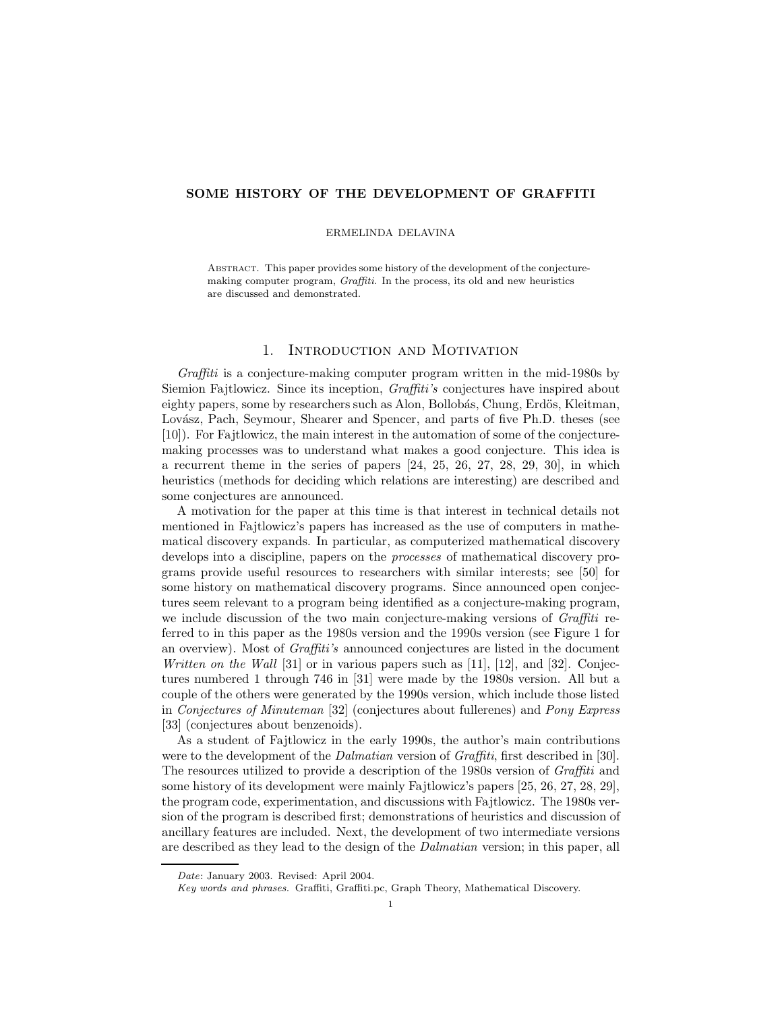# **SOME HISTORY OF THE DEVELOPMENT OF GRAFFITI**

## ERMELINDA DELAVINA

Abstract. This paper provides some history of the development of the conjecturemaking computer program, Graffiti. In the process, its old and new heuristics are discussed and demonstrated.

# 1. Introduction and Motivation

*Graffiti* is a conjecture-making computer program written in the mid-1980s by Siemion Fajtlowicz. Since its inception, *Graffiti's* conjectures have inspired about eighty papers, some by researchers such as Alon, Bollobás, Chung, Erdös, Kleitman, Lovász, Pach, Seymour, Shearer and Spencer, and parts of five Ph.D. theses (see [10]). For Fajtlowicz, the main interest in the automation of some of the conjecturemaking processes was to understand what makes a good conjecture. This idea is a recurrent theme in the series of papers [24, 25, 26, 27, 28, 29, 30], in which heuristics (methods for deciding which relations are interesting) are described and some conjectures are announced.

A motivation for the paper at this time is that interest in technical details not mentioned in Fajtlowicz's papers has increased as the use of computers in mathematical discovery expands. In particular, as computerized mathematical discovery develops into a discipline, papers on the *processes* of mathematical discovery programs provide useful resources to researchers with similar interests; see [50] for some history on mathematical discovery programs. Since announced open conjectures seem relevant to a program being identified as a conjecture-making program, we include discussion of the two main conjecture-making versions of *Graffiti* referred to in this paper as the 1980s version and the 1990s version (see Figure 1 for an overview). Most of *Graffiti's* announced conjectures are listed in the document *Written on the Wall* [31] or in various papers such as [11], [12], and [32]. Conjectures numbered 1 through 746 in [31] were made by the 1980s version. All but a couple of the others were generated by the 1990s version, which include those listed in *Conjectures of Minuteman* [32] (conjectures about fullerenes) and *Pony Express* [33] (conjectures about benzenoids).

As a student of Fajtlowicz in the early 1990s, the author's main contributions were to the development of the *Dalmatian* version of *Graffiti*, first described in [30]. The resources utilized to provide a description of the 1980s version of *Graffiti* and some history of its development were mainly Fajtlowicz's papers [25, 26, 27, 28, 29], the program code, experimentation, and discussions with Fajtlowicz. The 1980s version of the program is described first; demonstrations of heuristics and discussion of ancillary features are included. Next, the development of two intermediate versions are described as they lead to the design of the *Dalmatian* version; in this paper, all

Date: January 2003. Revised: April 2004.

Key words and phrases. Graffiti, Graffiti.pc, Graph Theory, Mathematical Discovery.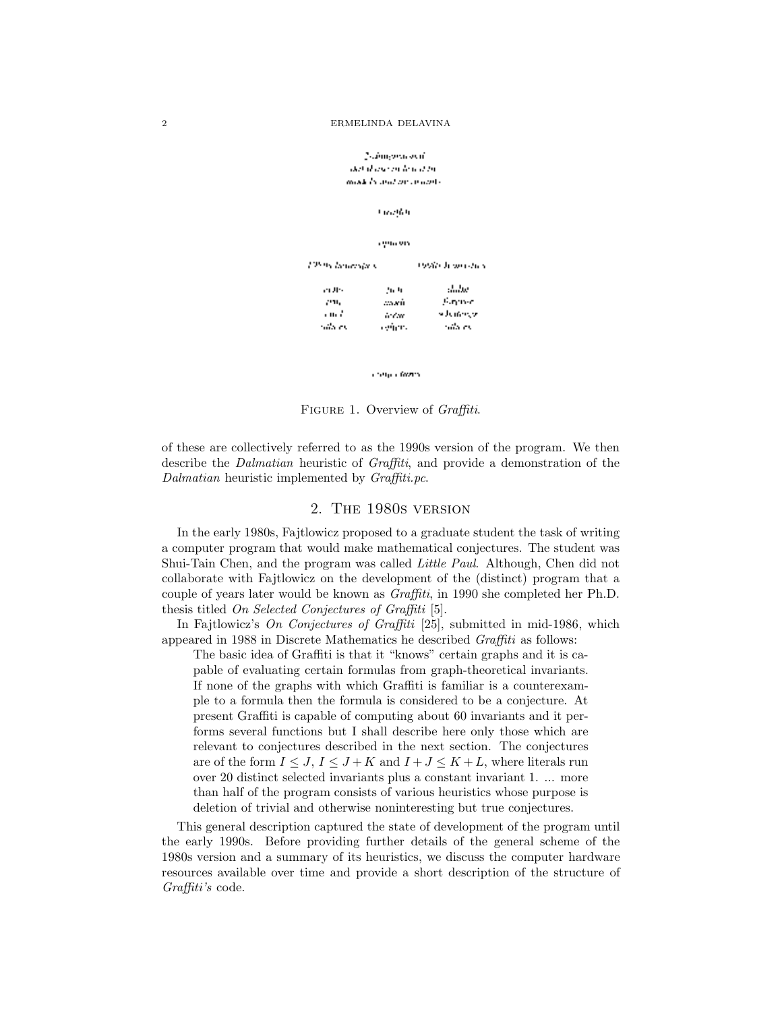## Nahinguna ayat del d'une en leur d'un models and presidents.

**Granden** 

cyncers

| 12595 lancesja v |        | リソネビル かいきゅう |
|------------------|--------|-------------|
| en Jiro          | 56.90  | shihe       |
| 291.             | asseñ. | Farmer.     |
| առե              | in Car | s June 197  |
| ralis ex         | egian. | rala es     |

Congra Grand

Figure 1. Overview of *Graffiti*.

of these are collectively referred to as the 1990s version of the program. We then describe the *Dalmatian* heuristic of *Graffiti*, and provide a demonstration of the *Dalmatian* heuristic implemented by *Graffiti.pc*.

# 2. The 1980s version

In the early 1980s, Fajtlowicz proposed to a graduate student the task of writing a computer program that would make mathematical conjectures. The student was Shui-Tain Chen, and the program was called *Little Paul*. Although, Chen did not collaborate with Fajtlowicz on the development of the (distinct) program that a couple of years later would be known as *Graffiti*, in 1990 she completed her Ph.D. thesis titled *On Selected Conjectures of Graffiti* [5].

In Fajtlowicz's *On Conjectures of Graffiti* [25], submitted in mid-1986, which appeared in 1988 in Discrete Mathematics he described *Graffiti* as follows:

The basic idea of Graffiti is that it "knows" certain graphs and it is capable of evaluating certain formulas from graph-theoretical invariants. If none of the graphs with which Graffiti is familiar is a counterexample to a formula then the formula is considered to be a conjecture. At present Graffiti is capable of computing about 60 invariants and it performs several functions but I shall describe here only those which are relevant to conjectures described in the next section. The conjectures are of the form  $I \leq J$ ,  $I \leq J + K$  and  $I + J \leq K + L$ , where literals run over 20 distinct selected invariants plus a constant invariant 1. ... more than half of the program consists of various heuristics whose purpose is deletion of trivial and otherwise noninteresting but true conjectures.

This general description captured the state of development of the program until the early 1990s. Before providing further details of the general scheme of the 1980s version and a summary of its heuristics, we discuss the computer hardware resources available over time and provide a short description of the structure of *Graffiti's* code.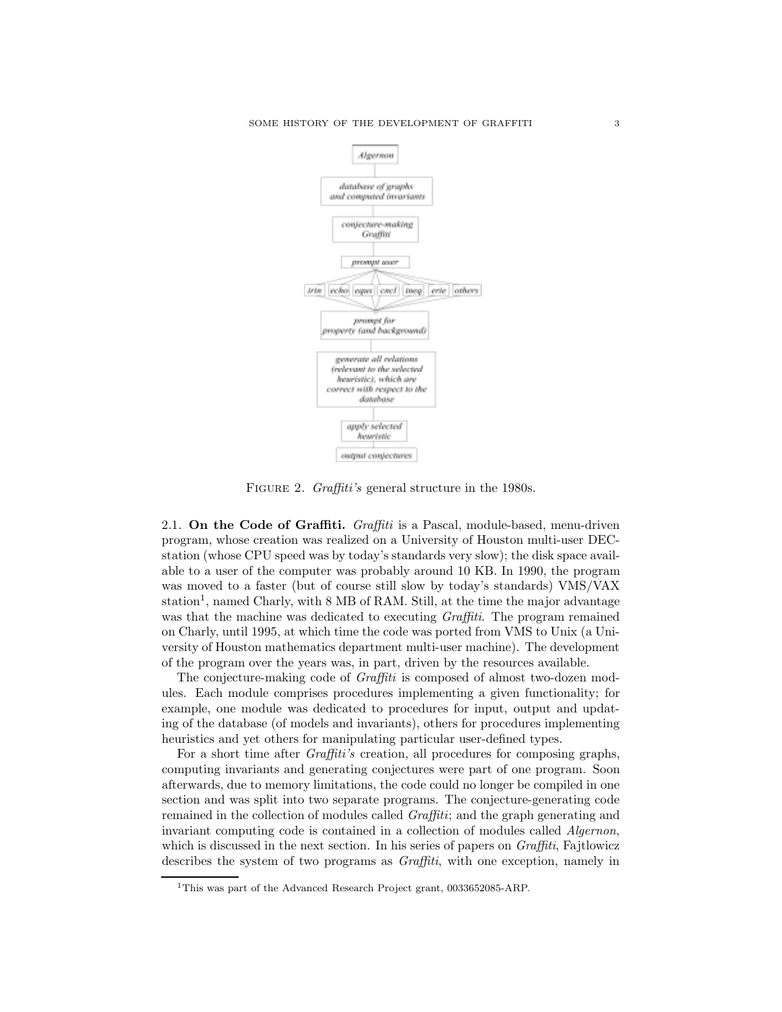

FIGURE 2. *Graffiti's* general structure in the 1980s.

2.1. **On the Code of Graffiti.** *Graffiti* is a Pascal, module-based, menu-driven program, whose creation was realized on a University of Houston multi-user DECstation (whose CPU speed was by today's standards very slow); the disk space available to a user of the computer was probably around 10 KB. In 1990, the program was moved to a faster (but of course still slow by today's standards) VMS/VAX station<sup>1</sup>, named Charly, with  $8 \text{ MB}$  of RAM. Still, at the time the major advantage was that the machine was dedicated to executing *Graffiti*. The program remained on Charly, until 1995, at which time the code was ported from VMS to Unix (a University of Houston mathematics department multi-user machine). The development of the program over the years was, in part, driven by the resources available.

The conjecture-making code of *Graffiti* is composed of almost two-dozen modules. Each module comprises procedures implementing a given functionality; for example, one module was dedicated to procedures for input, output and updating of the database (of models and invariants), others for procedures implementing heuristics and yet others for manipulating particular user-defined types.

For a short time after *Graffiti's* creation, all procedures for composing graphs, computing invariants and generating conjectures were part of one program. Soon afterwards, due to memory limitations, the code could no longer be compiled in one section and was split into two separate programs. The conjecture-generating code remained in the collection of modules called *Graffiti*; and the graph generating and invariant computing code is contained in a collection of modules called *Algernon*, which is discussed in the next section. In his series of papers on *Graffiti*, Fajtlowicz describes the system of two programs as *Graffiti*, with one exception, namely in

<sup>1</sup>This was part of the Advanced Research Project grant, 0033652085-ARP.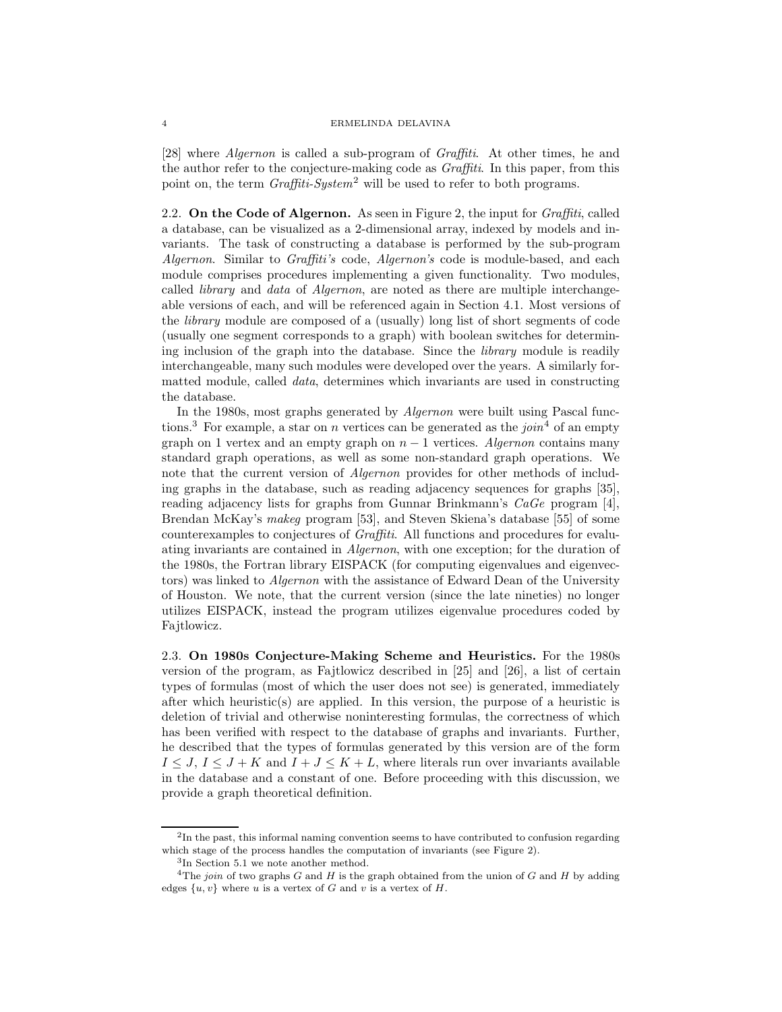[28] where *Algernon* is called a sub-program of *Graffiti*. At other times, he and the author refer to the conjecture-making code as *Graffiti*. In this paper, from this point on, the term *Graffiti-System*<sup>2</sup> will be used to refer to both programs.

2.2. **On the Code of Algernon.** As seen in Figure 2, the input for *Graffiti*, called a database, can be visualized as a 2-dimensional array, indexed by models and invariants. The task of constructing a database is performed by the sub-program *Algernon*. Similar to *Graffiti's* code, *Algernon's* code is module-based, and each module comprises procedures implementing a given functionality. Two modules, called *library* and *data* of *Algernon*, are noted as there are multiple interchangeable versions of each, and will be referenced again in Section 4.1. Most versions of the *library* module are composed of a (usually) long list of short segments of code (usually one segment corresponds to a graph) with boolean switches for determining inclusion of the graph into the database. Since the *library* module is readily interchangeable, many such modules were developed over the years. A similarly formatted module, called *data*, determines which invariants are used in constructing the database.

In the 1980s, most graphs generated by *Algernon* were built using Pascal functions.<sup>3</sup> For example, a star on n vertices can be generated as the *join*<sup>4</sup> of an empty graph on 1 vertex and an empty graph on  $n - 1$  vertices. *Algernon* contains many standard graph operations, as well as some non-standard graph operations. We note that the current version of *Algernon* provides for other methods of including graphs in the database, such as reading adjacency sequences for graphs [35], reading adjacency lists for graphs from Gunnar Brinkmann's *CaGe* program [4], Brendan McKay's *makeg* program [53], and Steven Skiena's database [55] of some counterexamples to conjectures of *Graffiti*. All functions and procedures for evaluating invariants are contained in *Algernon*, with one exception; for the duration of the 1980s, the Fortran library EISPACK (for computing eigenvalues and eigenvectors) was linked to *Algernon* with the assistance of Edward Dean of the University of Houston. We note, that the current version (since the late nineties) no longer utilizes EISPACK, instead the program utilizes eigenvalue procedures coded by Fajtlowicz.

2.3. **On 1980s Conjecture-Making Scheme and Heuristics.** For the 1980s version of the program, as Fajtlowicz described in [25] and [26], a list of certain types of formulas (most of which the user does not see) is generated, immediately after which heuristic(s) are applied. In this version, the purpose of a heuristic is deletion of trivial and otherwise noninteresting formulas, the correctness of which has been verified with respect to the database of graphs and invariants. Further, he described that the types of formulas generated by this version are of the form  $I \leq J, I \leq J + K$  and  $I + J \leq K + L$ , where literals run over invariants available in the database and a constant of one. Before proceeding with this discussion, we provide a graph theoretical definition.

 $2$ In the past, this informal naming convention seems to have contributed to confusion regarding which stage of the process handles the computation of invariants (see Figure 2).

<sup>3</sup>In Section 5.1 we note another method.

<sup>&</sup>lt;sup>4</sup>The join of two graphs G and H is the graph obtained from the union of G and H by adding edges  $\{u, v\}$  where u is a vertex of G and v is a vertex of H.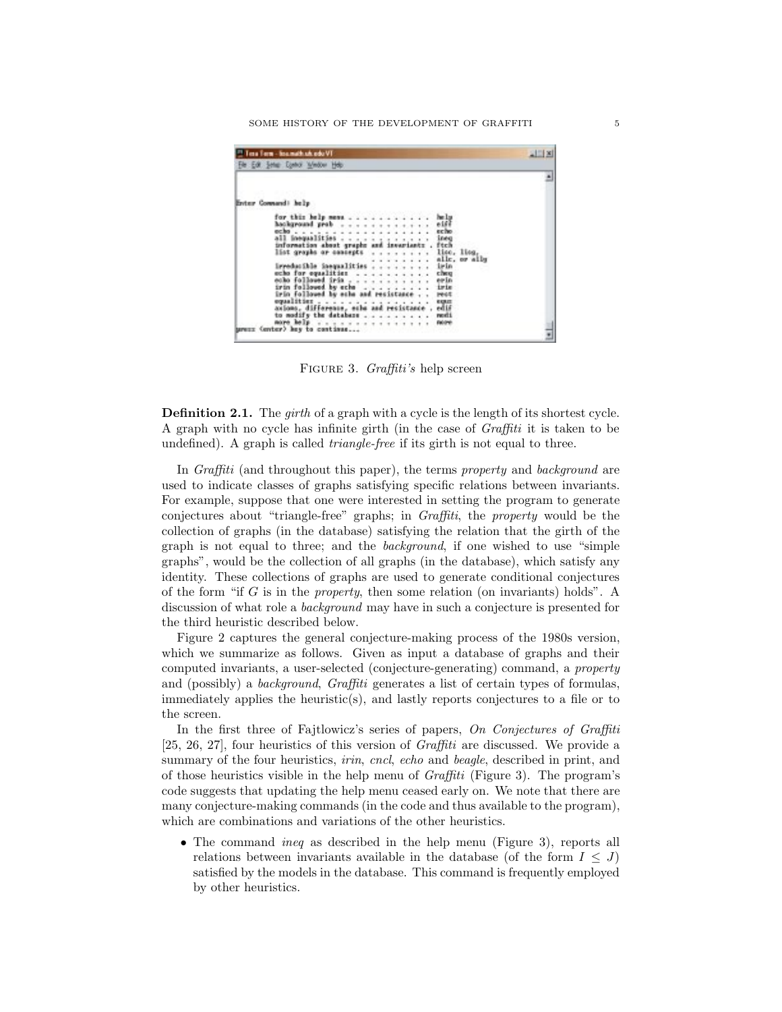SOME HISTORY OF THE DEVELOPMENT OF GRAFFITI 5

| <b>CONTRACTOR</b><br>Erster Command: help<br>for this help ness<br>help<br>hackground prob<br>0.166<br>echo<br>all inequalities<br>information about graphs and invariants'.<br>ineg<br>ftch<br>lice, lice,<br>list graphs or concepts<br>alle, or alls<br>irreducible inequalities<br>irin<br>echo for equalities<br>cheu<br>echo followed jrin , , , , , , , , , , ,<br>erin<br>irin followed by eche<br>iris<br>irin followed by echo and resistance<br>rect<br>equalities<br>嘂<br>acions, differense, eche and resistance .<br>to modify the database<br>resti<br><b>Fabiret</b> | "I Tesa Term - Insamath sh.odo VT<br>File Edit Setup Control Window Help | コロ× |
|--------------------------------------------------------------------------------------------------------------------------------------------------------------------------------------------------------------------------------------------------------------------------------------------------------------------------------------------------------------------------------------------------------------------------------------------------------------------------------------------------------------------------------------------------------------------------------------|--------------------------------------------------------------------------|-----|
|                                                                                                                                                                                                                                                                                                                                                                                                                                                                                                                                                                                      |                                                                          |     |
|                                                                                                                                                                                                                                                                                                                                                                                                                                                                                                                                                                                      |                                                                          |     |
|                                                                                                                                                                                                                                                                                                                                                                                                                                                                                                                                                                                      |                                                                          |     |
|                                                                                                                                                                                                                                                                                                                                                                                                                                                                                                                                                                                      |                                                                          |     |
|                                                                                                                                                                                                                                                                                                                                                                                                                                                                                                                                                                                      |                                                                          |     |
|                                                                                                                                                                                                                                                                                                                                                                                                                                                                                                                                                                                      |                                                                          |     |
|                                                                                                                                                                                                                                                                                                                                                                                                                                                                                                                                                                                      |                                                                          |     |
|                                                                                                                                                                                                                                                                                                                                                                                                                                                                                                                                                                                      |                                                                          |     |
|                                                                                                                                                                                                                                                                                                                                                                                                                                                                                                                                                                                      |                                                                          |     |
|                                                                                                                                                                                                                                                                                                                                                                                                                                                                                                                                                                                      |                                                                          |     |
|                                                                                                                                                                                                                                                                                                                                                                                                                                                                                                                                                                                      |                                                                          |     |
|                                                                                                                                                                                                                                                                                                                                                                                                                                                                                                                                                                                      |                                                                          |     |
|                                                                                                                                                                                                                                                                                                                                                                                                                                                                                                                                                                                      |                                                                          |     |
|                                                                                                                                                                                                                                                                                                                                                                                                                                                                                                                                                                                      |                                                                          |     |
|                                                                                                                                                                                                                                                                                                                                                                                                                                                                                                                                                                                      |                                                                          |     |
| urezz (enter) key to continue                                                                                                                                                                                                                                                                                                                                                                                                                                                                                                                                                        | nore help                                                                |     |

Figure 3. *Graffiti's* help screen

**Definition 2.1.** The *girth* of a graph with a cycle is the length of its shortest cycle. A graph with no cycle has infinite girth (in the case of *Graffiti* it is taken to be undefined). A graph is called *triangle-free* if its girth is not equal to three.

In *Graffiti* (and throughout this paper), the terms *property* and *background* are used to indicate classes of graphs satisfying specific relations between invariants. For example, suppose that one were interested in setting the program to generate conjectures about "triangle-free" graphs; in *Graffiti*, the *property* would be the collection of graphs (in the database) satisfying the relation that the girth of the graph is not equal to three; and the *background*, if one wished to use "simple graphs", would be the collection of all graphs (in the database), which satisfy any identity. These collections of graphs are used to generate conditional conjectures of the form "if G is in the *property*, then some relation (on invariants) holds". A discussion of what role a *background* may have in such a conjecture is presented for the third heuristic described below.

Figure 2 captures the general conjecture-making process of the 1980s version, which we summarize as follows. Given as input a database of graphs and their computed invariants, a user-selected (conjecture-generating) command, a *property* and (possibly) a *background*, *Graffiti* generates a list of certain types of formulas, immediately applies the heuristic(s), and lastly reports conjectures to a file or to the screen.

In the first three of Fajtlowicz's series of papers, *On Conjectures of Graffiti* [25, 26, 27], four heuristics of this version of *Graffiti* are discussed. We provide a summary of the four heuristics, *irin*, *cncl*, *echo* and *beagle*, described in print, and of those heuristics visible in the help menu of *Graffiti* (Figure 3). The program's code suggests that updating the help menu ceased early on. We note that there are many conjecture-making commands (in the code and thus available to the program), which are combinations and variations of the other heuristics.

• The command *ineq* as described in the help menu (Figure 3), reports all relations between invariants available in the database (of the form  $I \leq J$ ) satisfied by the models in the database. This command is frequently employed by other heuristics.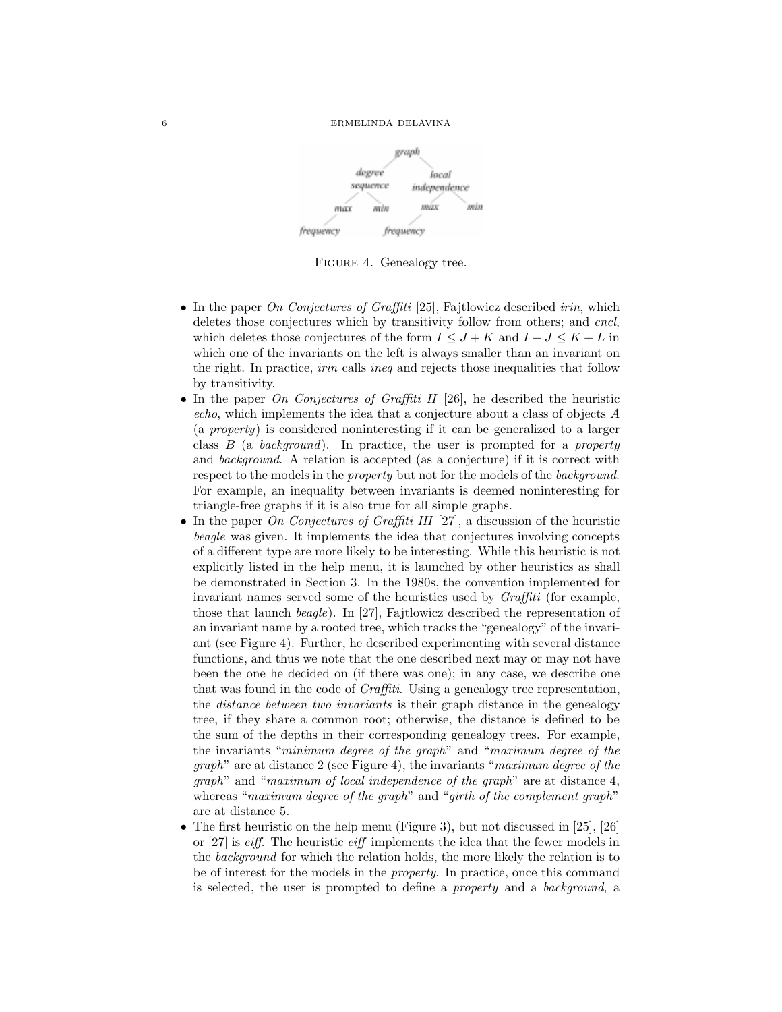

FIGURE 4. Genealogy tree.

- In the paper *On Conjectures of Graffiti* [25], Fajtlowicz described *irin*, which deletes those conjectures which by transitivity follow from others; and *cncl*, which deletes those conjectures of the form  $I \leq J + K$  and  $I + J \leq K + L$  in which one of the invariants on the left is always smaller than an invariant on the right. In practice, *irin* calls *ineq* and rejects those inequalities that follow by transitivity.
- In the paper *On Conjectures of Graffiti II* [26], he described the heuristic *echo*, which implements the idea that a conjecture about a class of objects A (a *property*) is considered noninteresting if it can be generalized to a larger class B (a *background*). In practice, the user is prompted for a *property* and *background*. A relation is accepted (as a conjecture) if it is correct with respect to the models in the *property* but not for the models of the *background*. For example, an inequality between invariants is deemed noninteresting for triangle-free graphs if it is also true for all simple graphs.
- In the paper *On Conjectures of Graffiti III* [27], a discussion of the heuristic *beagle* was given. It implements the idea that conjectures involving concepts of a different type are more likely to be interesting. While this heuristic is not explicitly listed in the help menu, it is launched by other heuristics as shall be demonstrated in Section 3. In the 1980s, the convention implemented for invariant names served some of the heuristics used by *Graffiti* (for example, those that launch *beagle*). In [27], Fajtlowicz described the representation of an invariant name by a rooted tree, which tracks the "genealogy" of the invariant (see Figure 4). Further, he described experimenting with several distance functions, and thus we note that the one described next may or may not have been the one he decided on (if there was one); in any case, we describe one that was found in the code of *Graffiti*. Using a genealogy tree representation, the *distance between two invariants* is their graph distance in the genealogy tree, if they share a common root; otherwise, the distance is defined to be the sum of the depths in their corresponding genealogy trees. For example, the invariants "*minimum degree of the graph*" and "*maximum degree of the graph*" are at distance 2 (see Figure 4), the invariants "*maximum degree of the graph*" and "*maximum of local independence of the graph*" are at distance 4, whereas "*maximum degree of the graph*" and "*girth of the complement graph*" are at distance 5.
- The first heuristic on the help menu (Figure 3), but not discussed in  $[25]$ ,  $[26]$ or [27] is *eiff*. The heuristic *eiff* implements the idea that the fewer models in the *background* for which the relation holds, the more likely the relation is to be of interest for the models in the *property*. In practice, once this command is selected, the user is prompted to define a *property* and a *background*, a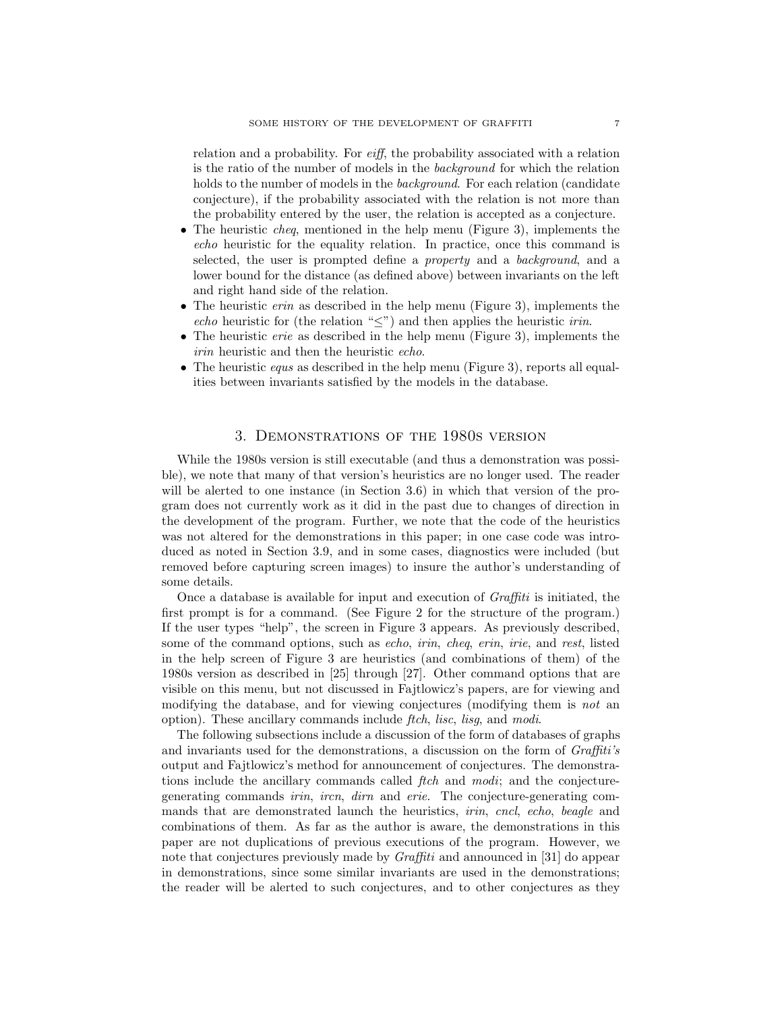relation and a probability. For *eiff*, the probability associated with a relation is the ratio of the number of models in the *background* for which the relation holds to the number of models in the *background*. For each relation (candidate conjecture), if the probability associated with the relation is not more than the probability entered by the user, the relation is accepted as a conjecture.

- The heuristic *cheq*, mentioned in the help menu (Figure 3), implements the *echo* heuristic for the equality relation. In practice, once this command is selected, the user is prompted define a *property* and a *background*, and a lower bound for the distance (as defined above) between invariants on the left and right hand side of the relation.
- The heuristic *erin* as described in the help menu (Figure 3), implements the *echo* heuristic for (the relation " $\leq$ ") and then applies the heuristic *irin*.
- The heuristic *erie* as described in the help menu (Figure 3), implements the *irin* heuristic and then the heuristic *echo*.
- The heuristic *equs* as described in the help menu (Figure 3), reports all equalities between invariants satisfied by the models in the database.

# 3. Demonstrations of the 1980s version

While the 1980s version is still executable (and thus a demonstration was possible), we note that many of that version's heuristics are no longer used. The reader will be alerted to one instance (in Section 3.6) in which that version of the program does not currently work as it did in the past due to changes of direction in the development of the program. Further, we note that the code of the heuristics was not altered for the demonstrations in this paper; in one case code was introduced as noted in Section 3.9, and in some cases, diagnostics were included (but removed before capturing screen images) to insure the author's understanding of some details.

Once a database is available for input and execution of *Graffiti* is initiated, the first prompt is for a command. (See Figure 2 for the structure of the program.) If the user types "help", the screen in Figure 3 appears. As previously described, some of the command options, such as *echo*, *irin*, *cheq*, *erin*, *irie*, and *rest*, listed in the help screen of Figure 3 are heuristics (and combinations of them) of the 1980s version as described in [25] through [27]. Other command options that are visible on this menu, but not discussed in Fajtlowicz's papers, are for viewing and modifying the database, and for viewing conjectures (modifying them is *not* an option). These ancillary commands include *ftch*, *lisc*, *lisg*, and *modi*.

The following subsections include a discussion of the form of databases of graphs and invariants used for the demonstrations, a discussion on the form of *Graffiti's* output and Fajtlowicz's method for announcement of conjectures. The demonstrations include the ancillary commands called *ftch* and *modi*; and the conjecturegenerating commands *irin*, *ircn*, *dirn* and *erie*. The conjecture-generating commands that are demonstrated launch the heuristics, *irin*, *cncl*, *echo*, *beagle* and combinations of them. As far as the author is aware, the demonstrations in this paper are not duplications of previous executions of the program. However, we note that conjectures previously made by *Graffiti* and announced in [31] do appear in demonstrations, since some similar invariants are used in the demonstrations; the reader will be alerted to such conjectures, and to other conjectures as they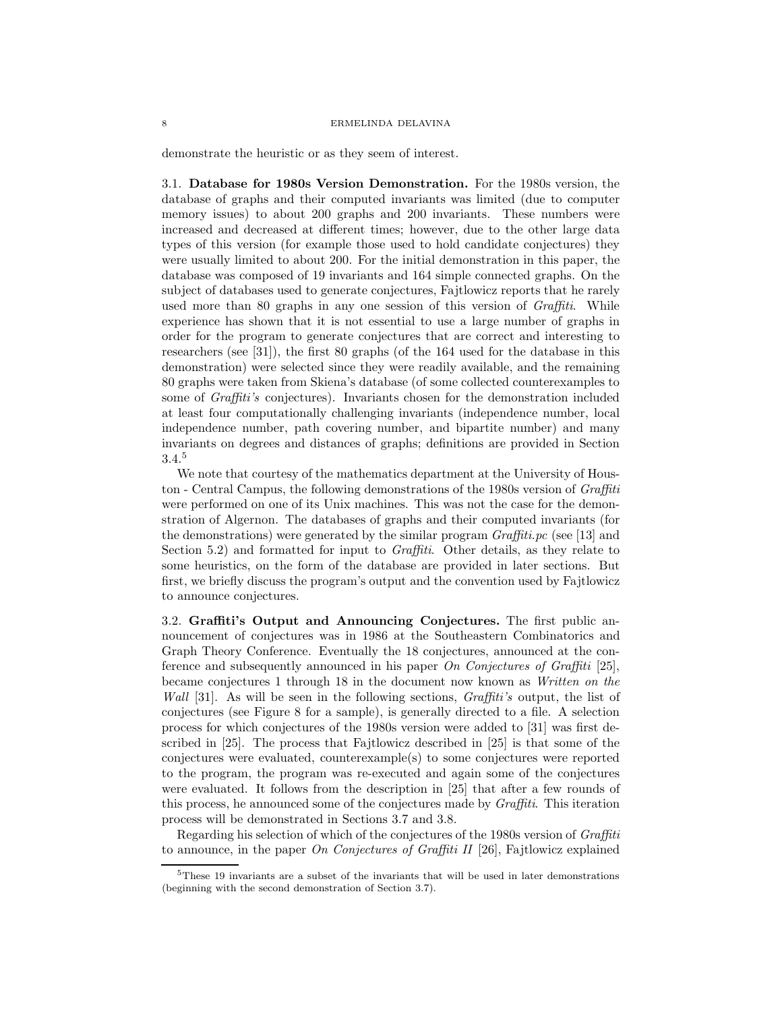demonstrate the heuristic or as they seem of interest.

3.1. **Database for 1980s Version Demonstration.** For the 1980s version, the database of graphs and their computed invariants was limited (due to computer memory issues) to about 200 graphs and 200 invariants. These numbers were increased and decreased at different times; however, due to the other large data types of this version (for example those used to hold candidate conjectures) they were usually limited to about 200. For the initial demonstration in this paper, the database was composed of 19 invariants and 164 simple connected graphs. On the subject of databases used to generate conjectures, Fajtlowicz reports that he rarely used more than 80 graphs in any one session of this version of *Graffiti*. While experience has shown that it is not essential to use a large number of graphs in order for the program to generate conjectures that are correct and interesting to researchers (see [31]), the first 80 graphs (of the 164 used for the database in this demonstration) were selected since they were readily available, and the remaining 80 graphs were taken from Skiena's database (of some collected counterexamples to some of *Graffiti's* conjectures). Invariants chosen for the demonstration included at least four computationally challenging invariants (independence number, local independence number, path covering number, and bipartite number) and many invariants on degrees and distances of graphs; definitions are provided in Section 3.4.<sup>5</sup>

We note that courtesy of the mathematics department at the University of Houston - Central Campus, the following demonstrations of the 1980s version of *Graffiti* were performed on one of its Unix machines. This was not the case for the demonstration of Algernon. The databases of graphs and their computed invariants (for the demonstrations) were generated by the similar program *Graffiti.pc* (see [13] and Section 5.2) and formatted for input to *Graffiti*. Other details, as they relate to some heuristics, on the form of the database are provided in later sections. But first, we briefly discuss the program's output and the convention used by Fajtlowicz to announce conjectures.

3.2. **Graffiti's Output and Announcing Conjectures.** The first public announcement of conjectures was in 1986 at the Southeastern Combinatorics and Graph Theory Conference. Eventually the 18 conjectures, announced at the conference and subsequently announced in his paper *On Conjectures of Graffiti* [25], became conjectures 1 through 18 in the document now known as *Written on the Wall* [31]. As will be seen in the following sections, *Graffiti's* output, the list of conjectures (see Figure 8 for a sample), is generally directed to a file. A selection process for which conjectures of the 1980s version were added to [31] was first described in [25]. The process that Fajtlowicz described in [25] is that some of the conjectures were evaluated, counterexample(s) to some conjectures were reported to the program, the program was re-executed and again some of the conjectures were evaluated. It follows from the description in [25] that after a few rounds of this process, he announced some of the conjectures made by *Graffiti*. This iteration process will be demonstrated in Sections 3.7 and 3.8.

Regarding his selection of which of the conjectures of the 1980s version of *Graffiti* to announce, in the paper *On Conjectures of Graffiti II* [26], Fajtlowicz explained

<sup>&</sup>lt;sup>5</sup>These 19 invariants are a subset of the invariants that will be used in later demonstrations (beginning with the second demonstration of Section 3.7).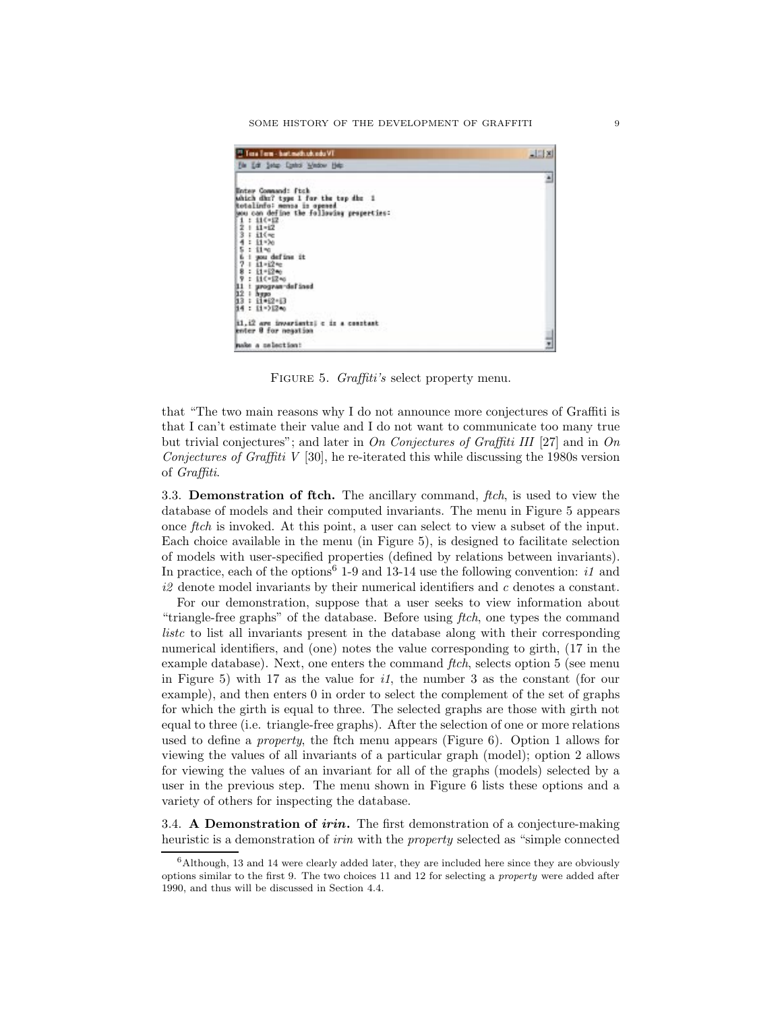SOME HISTORY OF THE DEVELOPMENT OF GRAFFITI 9

| <sup>23</sup> Tota Term - bart meth.uk.edu VT                                                                                                                                                                                                                                                                                                                               | L[x] |
|-----------------------------------------------------------------------------------------------------------------------------------------------------------------------------------------------------------------------------------------------------------------------------------------------------------------------------------------------------------------------------|------|
| File Edit Satup Control Window Help:                                                                                                                                                                                                                                                                                                                                        |      |
|                                                                                                                                                                                                                                                                                                                                                                             |      |
| <b>Enter Command: Ftck</b><br>Which dha? type 1 for the top dhe 1                                                                                                                                                                                                                                                                                                           |      |
| Rotalinfo: mensa is opened                                                                                                                                                                                                                                                                                                                                                  |      |
| sou can define the following properties:                                                                                                                                                                                                                                                                                                                                    |      |
| $: 110 - 12$<br>ż                                                                                                                                                                                                                                                                                                                                                           |      |
| i1(mg                                                                                                                                                                                                                                                                                                                                                                       |      |
| $: 11 - 20$                                                                                                                                                                                                                                                                                                                                                                 |      |
| 5<br>$: 11 - 0$                                                                                                                                                                                                                                                                                                                                                             |      |
| I wou define it<br>昌夕<br>$11 - 12 =$                                                                                                                                                                                                                                                                                                                                        |      |
|                                                                                                                                                                                                                                                                                                                                                                             |      |
|                                                                                                                                                                                                                                                                                                                                                                             |      |
|                                                                                                                                                                                                                                                                                                                                                                             |      |
| $\begin{array}{l} 8: \; \mathop{\mathrm{H}}\nolimits^{+12n_{0}}\\ 9: \; \mathop{\mathrm{H}}\nolimits^{(-12n_{0})}\\ 11: \; \mathop{\mathrm{program}}\nolimits^{+1} \mathop{\mathrm{d}}\nolimits^{+1} \mathop{\mathrm{d}}\nolimits^{+}\\ 12: \; \mathop{\mathrm{hyp}}\nolimits^{0}\\ 13: \; \mathop{\mathrm{H}}\nolimits^{0} \mathop{\mathrm{H}}\nolimits^{0}\\ \end{array}$ |      |
|                                                                                                                                                                                                                                                                                                                                                                             |      |
| 14: 11->12-0                                                                                                                                                                                                                                                                                                                                                                |      |
| 11.12 are invariant: c is a constant                                                                                                                                                                                                                                                                                                                                        |      |
| enter 0 for negation                                                                                                                                                                                                                                                                                                                                                        |      |
|                                                                                                                                                                                                                                                                                                                                                                             |      |
| make a selection:                                                                                                                                                                                                                                                                                                                                                           |      |

FIGURE 5. *Graffiti's* select property menu.

that "The two main reasons why I do not announce more conjectures of Graffiti is that I can't estimate their value and I do not want to communicate too many true but trivial conjectures"; and later in *On Conjectures of Graffiti III* [27] and in *On Conjectures of Graffiti V* [30], he re-iterated this while discussing the 1980s version of *Graffiti*.

3.3. **Demonstration of ftch.** The ancillary command, *ftch*, is used to view the database of models and their computed invariants. The menu in Figure 5 appears once *ftch* is invoked. At this point, a user can select to view a subset of the input. Each choice available in the menu (in Figure 5), is designed to facilitate selection of models with user-specified properties (defined by relations between invariants). In practice, each of the options<sup>6</sup> 1-9 and 13-14 use the following convention:  $i1$  and *i2* denote model invariants by their numerical identifiers and *c* denotes a constant.

For our demonstration, suppose that a user seeks to view information about "triangle-free graphs" of the database. Before using *ftch*, one types the command *listc* to list all invariants present in the database along with their corresponding numerical identifiers, and (one) notes the value corresponding to girth, (17 in the example database). Next, one enters the command *ftch*, selects option 5 (see menu in Figure 5) with 17 as the value for *i1*, the number 3 as the constant (for our example), and then enters 0 in order to select the complement of the set of graphs for which the girth is equal to three. The selected graphs are those with girth not equal to three (i.e. triangle-free graphs). After the selection of one or more relations used to define a *property*, the ftch menu appears (Figure 6). Option 1 allows for viewing the values of all invariants of a particular graph (model); option 2 allows for viewing the values of an invariant for all of the graphs (models) selected by a user in the previous step. The menu shown in Figure 6 lists these options and a variety of others for inspecting the database.

3.4. **A Demonstration of** *irin***.** The first demonstration of a conjecture-making heuristic is a demonstration of *irin* with the *property* selected as "simple connected

 $6$ Although, 13 and 14 were clearly added later, they are included here since they are obviously options similar to the first 9. The two choices 11 and 12 for selecting a property were added after 1990, and thus will be discussed in Section 4.4.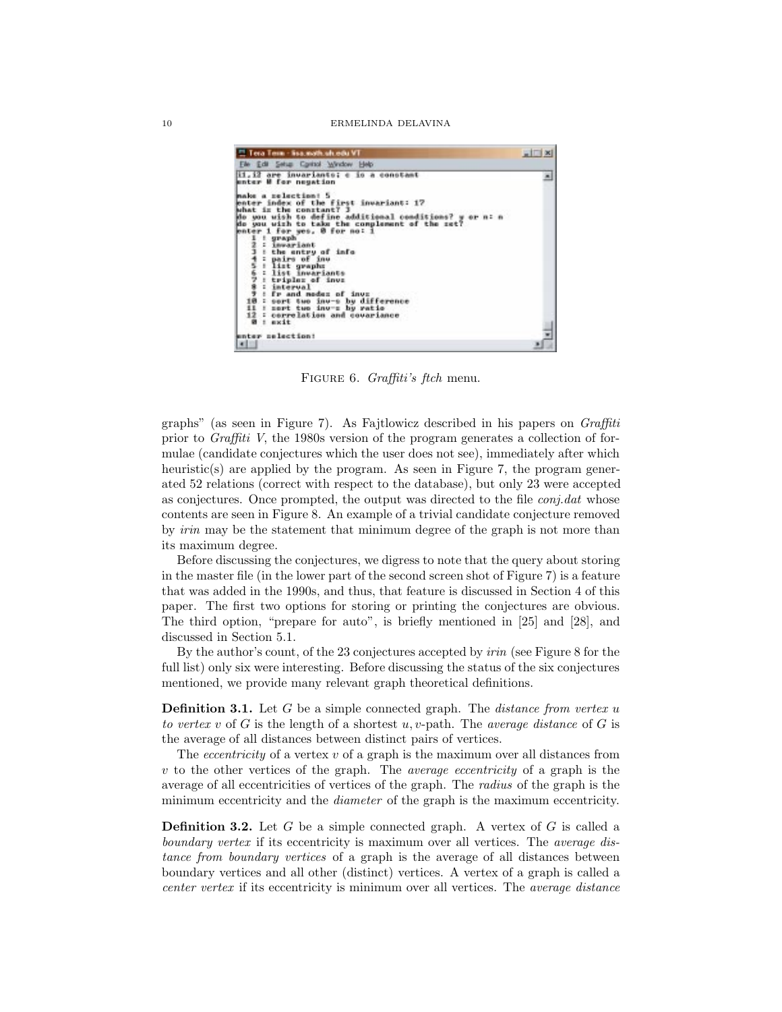

Figure 6. *Graffiti's ftch* menu.

graphs" (as seen in Figure 7). As Fajtlowicz described in his papers on *Graffiti* prior to *Graffiti V*, the 1980s version of the program generates a collection of formulae (candidate conjectures which the user does not see), immediately after which heuristic(s) are applied by the program. As seen in Figure 7, the program generated 52 relations (correct with respect to the database), but only 23 were accepted as conjectures. Once prompted, the output was directed to the file *conj.dat* whose contents are seen in Figure 8. An example of a trivial candidate conjecture removed by *irin* may be the statement that minimum degree of the graph is not more than its maximum degree.

Before discussing the conjectures, we digress to note that the query about storing in the master file (in the lower part of the second screen shot of Figure 7) is a feature that was added in the 1990s, and thus, that feature is discussed in Section 4 of this paper. The first two options for storing or printing the conjectures are obvious. The third option, "prepare for auto", is briefly mentioned in [25] and [28], and discussed in Section 5.1.

By the author's count, of the 23 conjectures accepted by *irin* (see Figure 8 for the full list) only six were interesting. Before discussing the status of the six conjectures mentioned, we provide many relevant graph theoretical definitions.

**Definition 3.1.** Let G be a simple connected graph. The *distance from vertex* u *to vertex* v of G is the length of a shortest u, v-path. The *average distance* of G is the average of all distances between distinct pairs of vertices.

The *eccentricity* of a vertex v of a graph is the maximum over all distances from v to the other vertices of the graph. The *average eccentricity* of a graph is the average of all eccentricities of vertices of the graph. The *radius* of the graph is the minimum eccentricity and the *diameter* of the graph is the maximum eccentricity.

**Definition 3.2.** Let G be a simple connected graph. A vertex of G is called a *boundary vertex* if its eccentricity is maximum over all vertices. The *average distance from boundary vertices* of a graph is the average of all distances between boundary vertices and all other (distinct) vertices. A vertex of a graph is called a *center vertex* if its eccentricity is minimum over all vertices. The *average distance*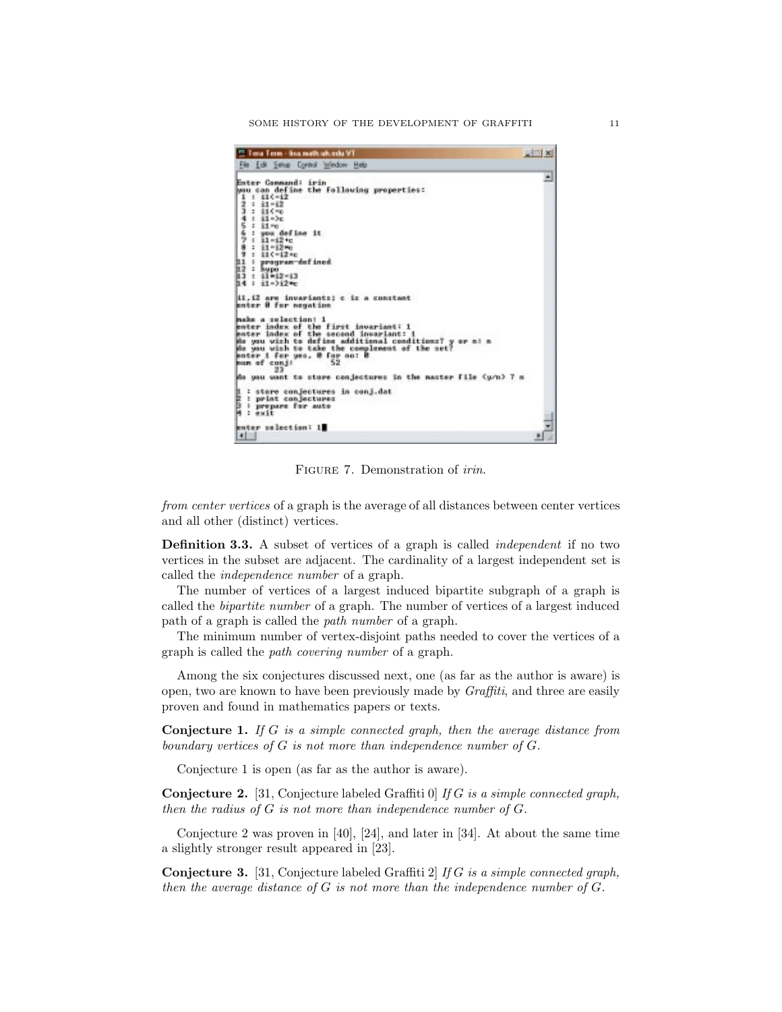SOME HISTORY OF THE DEVELOPMENT OF GRAFFITI 11

| <sup>12</sup> Tera Term - lina math.uh.edu VT                                                                                                                                                                                                                                                                                                                              | $= 2$ |
|----------------------------------------------------------------------------------------------------------------------------------------------------------------------------------------------------------------------------------------------------------------------------------------------------------------------------------------------------------------------------|-------|
| File Edit Setup Control Window Help                                                                                                                                                                                                                                                                                                                                        |       |
| Enter Command: irin<br>wou can define the following properties:<br>$111(-12)$<br>2<br>$1 + 1 = 12$<br>ı<br>: 110%<br>$+11-2c$<br>٠<br>$\frac{6}{9}$ : 11 rc<br>$\frac{6}{7}$ : you def<br>$\frac{7}{7}$ : 11 -12 rc<br>$\frac{8}{7}$ : 11 -12 rc<br>: you define it<br>$9:11(-12)$<br>I program-defined<br>11<br>$12:$ hypo<br>ᄞ<br>$1 - 11 + 12 - 13$<br>h4<br>$11 - 212$ |       |
| il.i2 arm invariants: c is a constant<br>enter 8 for negation<br>make a selection! 1<br>enter index of the first invariant: 1<br>enter index of the second invariant: 1<br>do you wizh to define additional conditions? y or n! n                                                                                                                                          |       |
| do you wish to take the complement of the net?<br>enter 1 for yes, 0 for no:<br>num of conji<br>52<br>23                                                                                                                                                                                                                                                                   |       |
| do you want to store conjectures in the master file (y/n) 7 m                                                                                                                                                                                                                                                                                                              |       |
| : store conjectures in conj.dat<br>Ë<br>t print conjectures<br>È,<br>I prepare for auto<br>: ewit                                                                                                                                                                                                                                                                          |       |
| enter selection: 1<br>41                                                                                                                                                                                                                                                                                                                                                   |       |

Figure 7. Demonstration of *irin*.

*from center vertices* of a graph is the average of all distances between center vertices and all other (distinct) vertices.

**Definition 3.3.** A subset of vertices of a graph is called *independent* if no two vertices in the subset are adjacent. The cardinality of a largest independent set is called the *independence number* of a graph.

The number of vertices of a largest induced bipartite subgraph of a graph is called the *bipartite number* of a graph. The number of vertices of a largest induced path of a graph is called the *path number* of a graph.

The minimum number of vertex-disjoint paths needed to cover the vertices of a graph is called the *path covering number* of a graph.

Among the six conjectures discussed next, one (as far as the author is aware) is open, two are known to have been previously made by *Graffiti*, and three are easily proven and found in mathematics papers or texts.

**Conjecture 1.** *If* G *is a simple connected graph, then the average distance from boundary vertices of* G *is not more than independence number of* G*.*

Conjecture 1 is open (as far as the author is aware).

**Conjecture 2.** [31, Conjecture labeled Graffiti 0] *If* G *is a simple connected graph, then the radius of* G *is not more than independence number of* G*.*

Conjecture 2 was proven in [40], [24], and later in [34]. At about the same time a slightly stronger result appeared in [23].

**Conjecture 3.** [31, Conjecture labeled Graffiti 2] *If* G *is a simple connected graph, then the average distance of* G *is not more than the independence number of* G*.*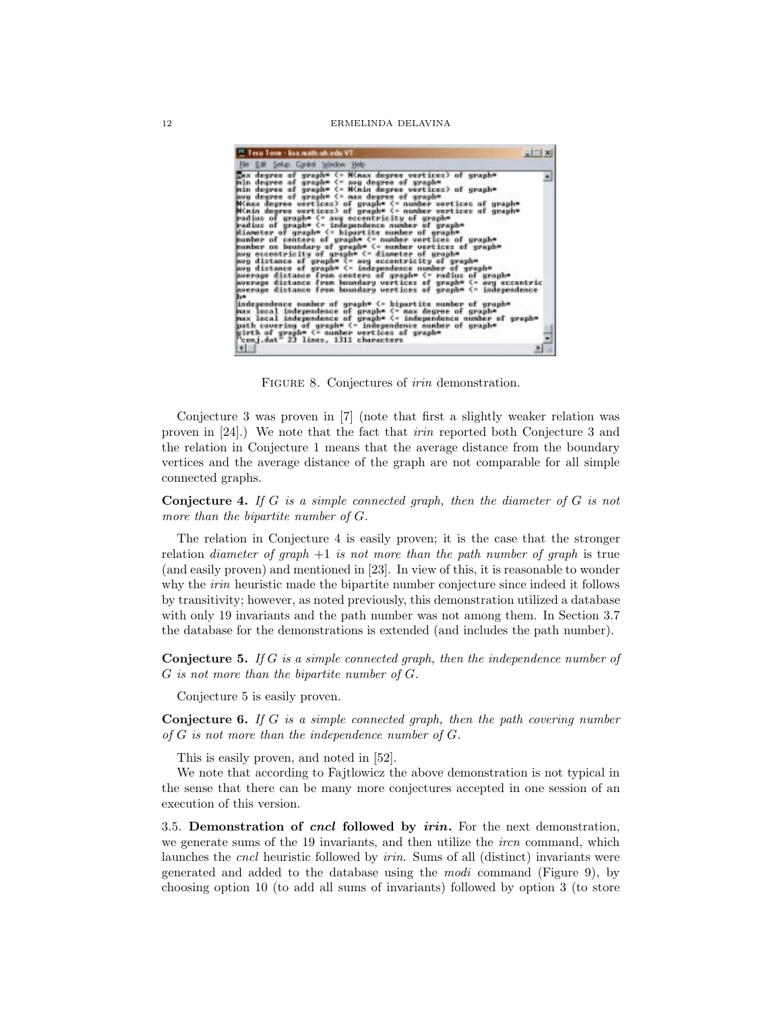| <sup>12</sup> Tera Term - lisa math.uh.edu VT                                                                                                                                                                                                                                                                                                                                                                                                                                                                                                                                                                                                                                                                                                                                                                                                                                                                                                                                                                                                                                                                                                                                                                                                                                                                                                                                        |  |
|--------------------------------------------------------------------------------------------------------------------------------------------------------------------------------------------------------------------------------------------------------------------------------------------------------------------------------------------------------------------------------------------------------------------------------------------------------------------------------------------------------------------------------------------------------------------------------------------------------------------------------------------------------------------------------------------------------------------------------------------------------------------------------------------------------------------------------------------------------------------------------------------------------------------------------------------------------------------------------------------------------------------------------------------------------------------------------------------------------------------------------------------------------------------------------------------------------------------------------------------------------------------------------------------------------------------------------------------------------------------------------------|--|
| Ele Edit Selup Control Window Help                                                                                                                                                                                                                                                                                                                                                                                                                                                                                                                                                                                                                                                                                                                                                                                                                                                                                                                                                                                                                                                                                                                                                                                                                                                                                                                                                   |  |
| hax degree of graph* <= M(nax degree vertices) of graph*<br>min degree of graph= <= aug degree of graph=<br>min degree of graph= <= M(nin degree vertices) of graph=<br>ave degree of graphs <= nax degree of graphs<br>Minax degree vertices) of graph® (= number vertices of graph®<br>Minin degree vertices) of graph= <= number vertices of graph=<br>radius of graph® <= awg eccentricity of graph®<br>radius of graph= <= independence number of graph=<br>diameter of qraph* <= bipartite number of qraph*<br>pumber of centers of graphs (= number vertices of graphs<br>munber on houndary of graph™ <= nunber vertices of graph™<br>low eccentricity of graph* <= diameter of graph*<br>way distance of graph* <- aug eccentricity of graph*<br>ave distance of graph* <= independence number of graph*<br>average distance from centers of graph= <= radius of graph=<br>wwerage distance from boundary vertices of graph* <= avg eccentric<br>average distance from boundary vertices of graph= <= independence<br>ы<br>independence number of graph* <= bipartite number of graph*<br>max local independence of graphs <= max degree of graphs<br>max local independence of graph= <= independence number of graph=<br>path covering of graph* <= independence number of graph*<br>girth of graph= <= nunber vertices of graph=<br>"conj.dat" 23 lines, 1311 characters |  |

Figure 8. Conjectures of *irin* demonstration.

Conjecture 3 was proven in [7] (note that first a slightly weaker relation was proven in [24].) We note that the fact that *irin* reported both Conjecture 3 and the relation in Conjecture 1 means that the average distance from the boundary vertices and the average distance of the graph are not comparable for all simple connected graphs.

**Conjecture 4.** *If* G *is a simple connected graph, then the diameter of* G *is not more than the bipartite number of* G*.*

The relation in Conjecture 4 is easily proven; it is the case that the stronger relation *diameter of graph* +1 *is not more than the path number of graph* is true (and easily proven) and mentioned in [23]. In view of this, it is reasonable to wonder why the *irin* heuristic made the bipartite number conjecture since indeed it follows by transitivity; however, as noted previously, this demonstration utilized a database with only 19 invariants and the path number was not among them. In Section 3.7 the database for the demonstrations is extended (and includes the path number).

**Conjecture 5.** *If* G *is a simple connected graph, then the independence number of* G *is not more than the bipartite number of* G*.*

Conjecture 5 is easily proven.

**Conjecture 6.** *If* G *is a simple connected graph, then the path covering number of* G *is not more than the independence number of* G*.*

This is easily proven, and noted in [52].

We note that according to Fajtlowicz the above demonstration is not typical in the sense that there can be many more conjectures accepted in one session of an execution of this version.

3.5. **Demonstration of** *cncl* **followed by** *irin***.** For the next demonstration, we generate sums of the 19 invariants, and then utilize the *ircn* command, which launches the *cncl* heuristic followed by *irin*. Sums of all (distinct) invariants were generated and added to the database using the *modi* command (Figure 9), by choosing option 10 (to add all sums of invariants) followed by option 3 (to store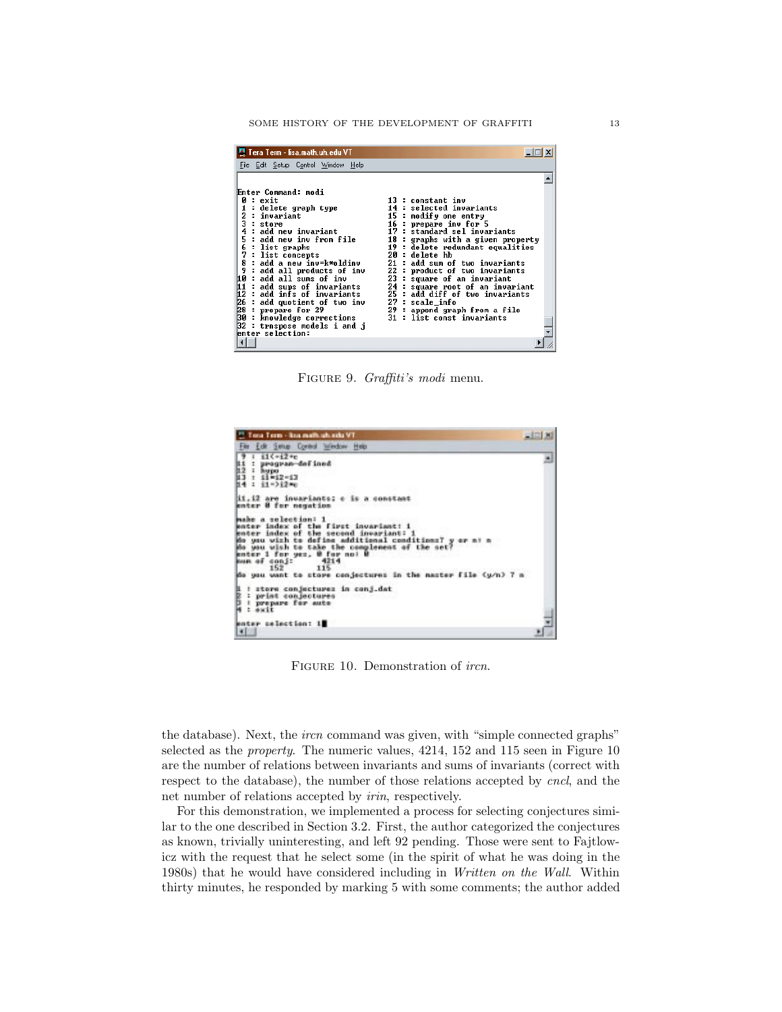SOME HISTORY OF THE DEVELOPMENT OF GRAFFITI 13

| 필 Tera Term - lisa.math.uh.edu VT<br>File Edit Setup Control Window Help                                                                                                                                                                                                                                                                                                                                                                                                                                                            |                                                                                                                                                                                                                                                                                                                                                                                                                                                                                         |
|-------------------------------------------------------------------------------------------------------------------------------------------------------------------------------------------------------------------------------------------------------------------------------------------------------------------------------------------------------------------------------------------------------------------------------------------------------------------------------------------------------------------------------------|-----------------------------------------------------------------------------------------------------------------------------------------------------------------------------------------------------------------------------------------------------------------------------------------------------------------------------------------------------------------------------------------------------------------------------------------------------------------------------------------|
| Enter Command: modi<br>0 : exit<br>delete graph type<br>2<br>: invariant<br>3<br>: store<br>: add new invariant<br>5<br>: add new inv from file<br>6 : list graphs<br>7<br>: list concepts<br>8<br>: add a new inv=k*oldinv<br>9<br>: add all products of inv<br>10 : add all sums of inv<br>11 : add sups of invaria<br>: add sups of invariants<br>12 : add infs of invariants<br>26 : add infs of invariants<br>26 : add quotient of two inv<br>30 : knowledge corrections<br>$32$ : trnspose models i and j<br>enter selection: | 13 : constant inv<br>14 : selected invariants<br>15 : modify one entry<br>16 : prepare inv for 5<br>17 : standard sel invariants<br>18 : graphs with a given property<br>19 : delete redundant equalities<br>20 : delete hb<br>21 : add sum of two invariants<br>22 : product of two invariants<br>23 : square of an invariant<br>24 : square root of an invariant<br>25 : add diff of two invariants<br>27 : scale info<br>29 : append graph from a file<br>31 : list const invariants |
|                                                                                                                                                                                                                                                                                                                                                                                                                                                                                                                                     |                                                                                                                                                                                                                                                                                                                                                                                                                                                                                         |

Figure 9. *Graffiti's modi* menu.

| <sup>12</sup> Tota Term - kramath uh edu VT.                                                                                                                                                                                                                                                                                                              |  |
|-----------------------------------------------------------------------------------------------------------------------------------------------------------------------------------------------------------------------------------------------------------------------------------------------------------------------------------------------------------|--|
| Film Edit Swise Combol Window Help                                                                                                                                                                                                                                                                                                                        |  |
| $1 - 11(-12 + c)$<br>9 : il<-i2+c<br>ii : program<br>i2 : hypo<br>i3 : ii=i2-i3<br>i4 : i1=>i2+c<br>: program-defined                                                                                                                                                                                                                                     |  |
| 11,12 are invariants; e is a constant<br>enter 8 for negation                                                                                                                                                                                                                                                                                             |  |
| make a selection: 1<br>enter index of the first invariant: i<br>enter index of the second invariant: 1<br>do you wish to define additional conditions? y or n! n<br>do you wish to take the complement of the set?<br>enter 1 for yes. 8 for no! B<br>mun of conj:<br>4214<br>152<br>115<br>do you want to store conjectures in the master file (y/n) 7 m |  |
| <b>RANDE</b><br>: stere conjectures in conj.dat<br>: print conjectures<br>I prepare for auto<br>exit                                                                                                                                                                                                                                                      |  |
| enter selection: 1<br>$\vert \cdot \vert$                                                                                                                                                                                                                                                                                                                 |  |

Figure 10. Demonstration of *ircn*.

the database). Next, the *ircn* command was given, with "simple connected graphs" selected as the *property*. The numeric values, 4214, 152 and 115 seen in Figure 10 are the number of relations between invariants and sums of invariants (correct with respect to the database), the number of those relations accepted by *cncl*, and the net number of relations accepted by *irin*, respectively.

For this demonstration, we implemented a process for selecting conjectures similar to the one described in Section 3.2. First, the author categorized the conjectures as known, trivially uninteresting, and left 92 pending. Those were sent to Fajtlowicz with the request that he select some (in the spirit of what he was doing in the 1980s) that he would have considered including in *Written on the Wall*. Within thirty minutes, he responded by marking 5 with some comments; the author added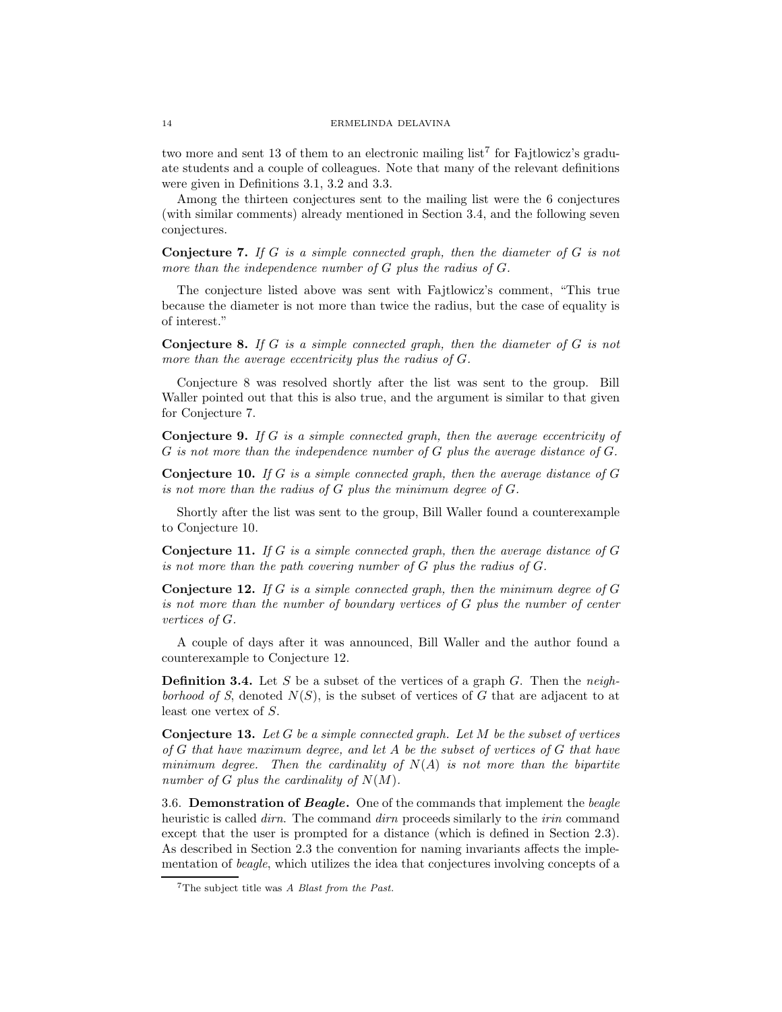two more and sent 13 of them to an electronic mailing list<sup>7</sup> for Fajtlowicz's graduate students and a couple of colleagues. Note that many of the relevant definitions were given in Definitions 3.1, 3.2 and 3.3.

Among the thirteen conjectures sent to the mailing list were the 6 conjectures (with similar comments) already mentioned in Section 3.4, and the following seven conjectures.

**Conjecture 7.** *If* G *is a simple connected graph, then the diameter of* G *is not more than the independence number of* G *plus the radius of* G*.*

The conjecture listed above was sent with Fajtlowicz's comment, "This true because the diameter is not more than twice the radius, but the case of equality is of interest."

**Conjecture 8.** *If* G *is a simple connected graph, then the diameter of* G *is not more than the average eccentricity plus the radius of* G*.*

Conjecture 8 was resolved shortly after the list was sent to the group. Bill Waller pointed out that this is also true, and the argument is similar to that given for Conjecture 7.

**Conjecture 9.** *If* G *is a simple connected graph, then the average eccentricity of* G *is not more than the independence number of* G *plus the average distance of* G*.*

**Conjecture 10.** *If* G *is a simple connected graph, then the average distance of* G *is not more than the radius of* G *plus the minimum degree of* G*.*

Shortly after the list was sent to the group, Bill Waller found a counterexample to Conjecture 10.

**Conjecture 11.** *If* G *is a simple connected graph, then the average distance of* G *is not more than the path covering number of* G *plus the radius of* G*.*

**Conjecture 12.** *If* G *is a simple connected graph, then the minimum degree of* G *is not more than the number of boundary vertices of* G *plus the number of center vertices of* G*.*

A couple of days after it was announced, Bill Waller and the author found a counterexample to Conjecture 12.

**Definition 3.4.** Let S be a subset of the vertices of a graph G. Then the *neighborhood of S*, denoted  $N(S)$ , is the subset of vertices of G that are adjacent to at least one vertex of S.

**Conjecture 13.** *Let* G *be a simple connected graph. Let* M *be the subset of vertices of* G *that have maximum degree, and let* A *be the subset of vertices of* G *that have minimum degree. Then the cardinality of* N(A) *is not more than the bipartite number of* G *plus the cardinality of*  $N(M)$ *.* 

3.6. **Demonstration of** *Beagle***.** One of the commands that implement the *beagle* heuristic is called *dirn*. The command *dirn* proceeds similarly to the *irin* command except that the user is prompted for a distance (which is defined in Section 2.3). As described in Section 2.3 the convention for naming invariants affects the implementation of *beagle*, which utilizes the idea that conjectures involving concepts of a

<sup>7</sup>The subject title was A Blast from the Past.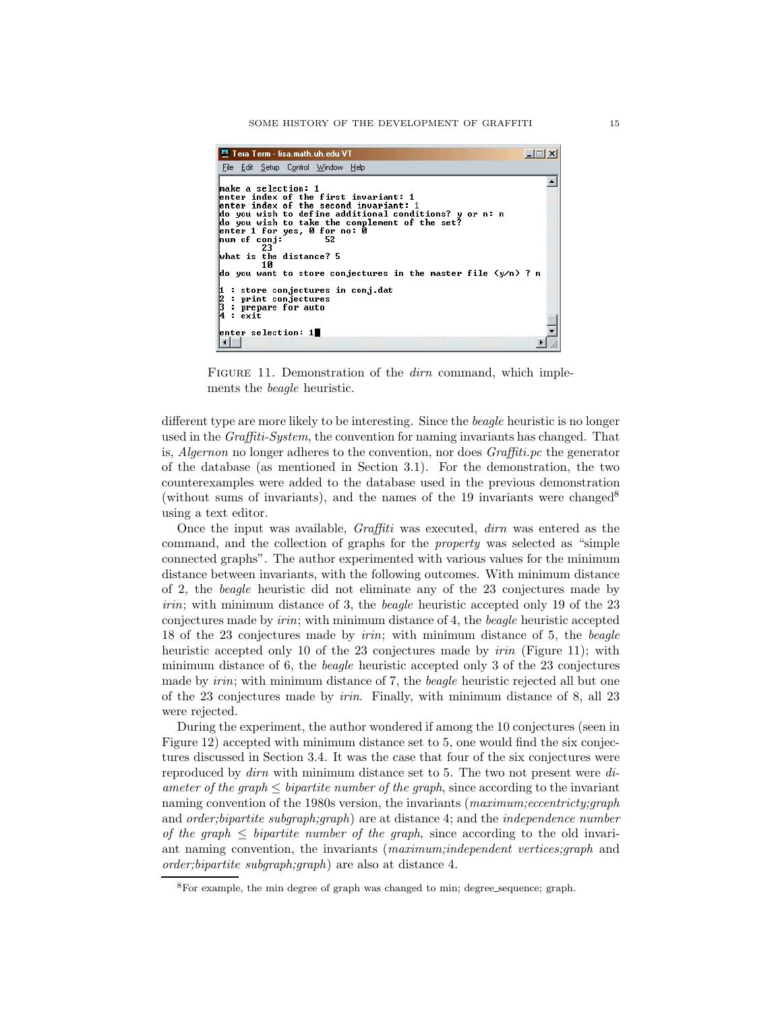| 진 Tera Term - lisa.math.uh.edu VT                                                                                                                                                                                                                                                                                                                                                                                                                                                           |  |
|---------------------------------------------------------------------------------------------------------------------------------------------------------------------------------------------------------------------------------------------------------------------------------------------------------------------------------------------------------------------------------------------------------------------------------------------------------------------------------------------|--|
| File Edit Setup Control Window Help                                                                                                                                                                                                                                                                                                                                                                                                                                                         |  |
| make a selection: 1<br>lenter index of the first invariant: 1<br>enter index of the second invariant: ${\bf 1}$<br>do you wish to define additional conditions? y or n: n<br>do you wish to take the complement of the set?<br>enter 1 for yes, 0 for no: 0<br>hum of conj:<br>52<br>23<br>What is the distance? 5<br>1Й<br>do you want to store conjectures in the master file (y/n) ? n<br>1 : store conjectures in conj.dat<br>2 : print conjectures<br>3 : prepare for auto<br>4 : exit |  |
|                                                                                                                                                                                                                                                                                                                                                                                                                                                                                             |  |
| enter selection: $1$                                                                                                                                                                                                                                                                                                                                                                                                                                                                        |  |
|                                                                                                                                                                                                                                                                                                                                                                                                                                                                                             |  |

FIGURE 11. Demonstration of the *dirn* command, which implements the *beagle* heuristic.

different type are more likely to be interesting. Since the *beagle* heuristic is no longer used in the *Graffiti-System*, the convention for naming invariants has changed. That is, *Algernon* no longer adheres to the convention, nor does *Graffiti.pc* the generator of the database (as mentioned in Section 3.1). For the demonstration, the two counterexamples were added to the database used in the previous demonstration (without sums of invariants), and the names of the 19 invariants were changed<sup>8</sup> using a text editor.

Once the input was available, *Graffiti* was executed, *dirn* was entered as the command, and the collection of graphs for the *property* was selected as "simple connected graphs". The author experimented with various values for the minimum distance between invariants, with the following outcomes. With minimum distance of 2, the *beagle* heuristic did not eliminate any of the 23 conjectures made by *irin*; with minimum distance of 3, the *beagle* heuristic accepted only 19 of the 23 conjectures made by *irin*; with minimum distance of 4, the *beagle* heuristic accepted 18 of the 23 conjectures made by *irin*; with minimum distance of 5, the *beagle* heuristic accepted only 10 of the 23 conjectures made by *irin* (Figure 11); with minimum distance of 6, the *beagle* heuristic accepted only 3 of the 23 conjectures made by *irin*; with minimum distance of 7, the *beagle* heuristic rejected all but one of the 23 conjectures made by *irin*. Finally, with minimum distance of 8, all 23 were rejected.

During the experiment, the author wondered if among the 10 conjectures (seen in Figure 12) accepted with minimum distance set to 5, one would find the six conjectures discussed in Section 3.4. It was the case that four of the six conjectures were reproduced by *dirn* with minimum distance set to 5. The two not present were *diameter of the graph*  $\leq$  *bipartite number of the graph*, since according to the invariant naming convention of the 1980s version, the invariants (*maximum;eccentricty;graph* and *order;bipartite subgraph;graph*) are at distance 4; and the *independence number of the graph*  $\leq$  *bipartite number of the graph*, since according to the old invariant naming convention, the invariants (*maximum;independent vertices;graph* and *order;bipartite subgraph;graph*) are also at distance 4.

<sup>8</sup>For example, the min degree of graph was changed to min; degree sequence; graph.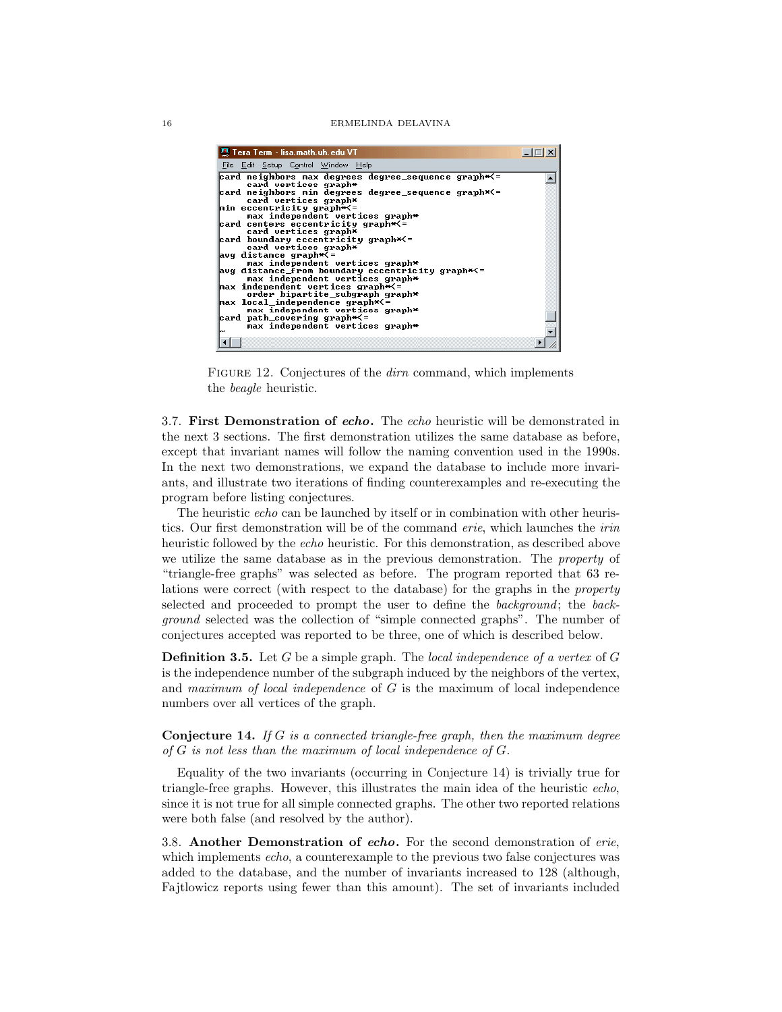| 里 Tera Term - lisa.math.uh.edu VT                                                                                                                                                                                                                                                                                                                                                                                                                                                                                                                                                                                                                                                                                                                                   |  |
|---------------------------------------------------------------------------------------------------------------------------------------------------------------------------------------------------------------------------------------------------------------------------------------------------------------------------------------------------------------------------------------------------------------------------------------------------------------------------------------------------------------------------------------------------------------------------------------------------------------------------------------------------------------------------------------------------------------------------------------------------------------------|--|
| File Edit Setup Control Window Help                                                                                                                                                                                                                                                                                                                                                                                                                                                                                                                                                                                                                                                                                                                                 |  |
| card neighbors max degrees degree_sequence graph*<=<br>card vertices graph*<br> card neighbors min degrees degree_sequence graph*<=<br>card vertices graph*<br>min eccentricity graph*<=<br>max independent vertices graph*<br>card centers eccentricity graph*<=<br>card vertices graph*<br> card boundary eccentricity graph*<=<br>card vertices graph*<br>avg distance graph*<=<br>max independent vertices graph*<br>avg distance_from boundary eccentricity graph*<=<br>max independent vertices graph*<br>$\mathop{\sf max}$ independent vertices graph $\star$ <=<br>order bipartite_subgraph graph*<br>$\mathsf{max}$ local_independence graph $\star$<br>max independent vertices graph*<br>card path_covering graph*<=<br>max independent vertices graph* |  |
|                                                                                                                                                                                                                                                                                                                                                                                                                                                                                                                                                                                                                                                                                                                                                                     |  |

FIGURE 12. Conjectures of the *dirn* command, which implements the *beagle* heuristic.

3.7. **First Demonstration of** *echo***.** The *echo* heuristic will be demonstrated in the next 3 sections. The first demonstration utilizes the same database as before, except that invariant names will follow the naming convention used in the 1990s. In the next two demonstrations, we expand the database to include more invariants, and illustrate two iterations of finding counterexamples and re-executing the program before listing conjectures.

The heuristic *echo* can be launched by itself or in combination with other heuristics. Our first demonstration will be of the command *erie*, which launches the *irin* heuristic followed by the *echo* heuristic. For this demonstration, as described above we utilize the same database as in the previous demonstration. The *property* of "triangle-free graphs" was selected as before. The program reported that 63 relations were correct (with respect to the database) for the graphs in the *property* selected and proceeded to prompt the user to define the *background*; the *background* selected was the collection of "simple connected graphs". The number of conjectures accepted was reported to be three, one of which is described below.

**Definition 3.5.** Let G be a simple graph. The *local independence of a vertex* of G is the independence number of the subgraph induced by the neighbors of the vertex, and *maximum of local independence* of G is the maximum of local independence numbers over all vertices of the graph.

**Conjecture 14.** *If* G *is a connected triangle-free graph, then the maximum degree of* G *is not less than the maximum of local independence of* G*.*

Equality of the two invariants (occurring in Conjecture 14) is trivially true for triangle-free graphs. However, this illustrates the main idea of the heuristic *echo*, since it is not true for all simple connected graphs. The other two reported relations were both false (and resolved by the author).

3.8. **Another Demonstration of** *echo***.** For the second demonstration of *erie*, which implements *echo*, a counterexample to the previous two false conjectures was added to the database, and the number of invariants increased to 128 (although, Fajtlowicz reports using fewer than this amount). The set of invariants included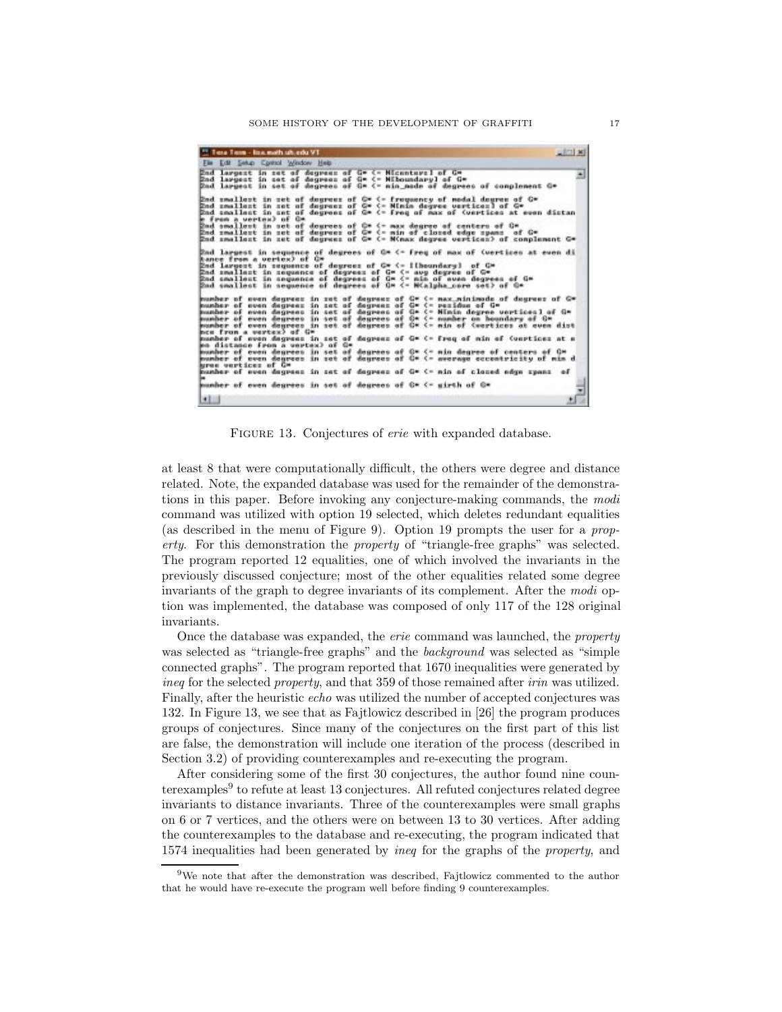| <sup>12</sup> Tera Term - line math uh edu VT                                                                                                                                                                                                                                                                                                                                                                                                         | $=$ $\frac{1}{2}$ $\times$ $\frac{1}{2}$ |
|-------------------------------------------------------------------------------------------------------------------------------------------------------------------------------------------------------------------------------------------------------------------------------------------------------------------------------------------------------------------------------------------------------------------------------------------------------|------------------------------------------|
| File Edit Selup Control Window Help                                                                                                                                                                                                                                                                                                                                                                                                                   |                                          |
| End largest in set of degrees of G= <- Micenters] of G=<br>End largest in set of degrees of G= <- Miboundaryl of G=<br>Bad largest in set of degrees of G* <- nin node of degrees of complement G*                                                                                                                                                                                                                                                    | 픠                                        |
| End smallest in set of degrees of C* <= frequency of modal degree of C*<br>End smallest in set of degrees of G* <- Minim degree vertices) of G*<br>End smallest in set of degrees of G* <- freq of max of (vertices at even distan<br>e from a vertex) of C=                                                                                                                                                                                          |                                          |
| Dad smallest in set of deurees of C= <= max degree of centers of C=<br>End smallest in set of degrees of C* <- min of closed edge spans of C*<br>End smallest in set of degrees of G* (= M(max degree vertices) of complement G*                                                                                                                                                                                                                      |                                          |
| 2nd largest in sequence of degrees of Q≈ <− freq of max of (wertiess at even di<br>hance from a vertex) of C*<br>2nd largest in sequence of degrees of C* <=  {houndary} of C*<br>End smallest in sequence of degrees of G* <- ave degree of G*<br>End smallest in sequence of degrees of Gm <- min of nues degrees of Gm<br>Bad smallest in sequence of degrees of O* <= W <alpha core="" set=""> of O*</alpha>                                      |                                          |
| mumber of even degreez in zet of degreez of G* <- nax_minimade of degreez of G*<br>mumber of even degrees in set of degrees of G= <- residue of G=<br>kumber of even degrees in set of degrees of G* <- Ninin degree vertices] of G*<br>wunher of even degrees in set of degrees of C* <- number on houndary of C*<br>wumber of oven dourees in set of dourees of C= <- min of <wortices at="" dist<br="" oven="">mce from a vertex) of G*</wortices> |                                          |
| pumber of even degrees in set of degrees of G* <- freq of min of (vertices at a<br>en distance from a vertex) of G=                                                                                                                                                                                                                                                                                                                                   |                                          |
| pumber of oven degrees in set of degrees of C= <= nin degree of centers of C=<br>mumber of even degrees in set of degrees of C* <- average eccentricity of min d<br>kres vertices of G*                                                                                                                                                                                                                                                               |                                          |
| munher of even degrees in set of degrees of G= <- nin of closed edge spans of                                                                                                                                                                                                                                                                                                                                                                         |                                          |
| mumber of even degrees in set of degrees of C= <= girth of C=                                                                                                                                                                                                                                                                                                                                                                                         |                                          |
| 址                                                                                                                                                                                                                                                                                                                                                                                                                                                     | ٨                                        |

FIGURE 13. Conjectures of *erie* with expanded database.

at least 8 that were computationally difficult, the others were degree and distance related. Note, the expanded database was used for the remainder of the demonstrations in this paper. Before invoking any conjecture-making commands, the *modi* command was utilized with option 19 selected, which deletes redundant equalities (as described in the menu of Figure 9). Option 19 prompts the user for a *property*. For this demonstration the *property* of "triangle-free graphs" was selected. The program reported 12 equalities, one of which involved the invariants in the previously discussed conjecture; most of the other equalities related some degree invariants of the graph to degree invariants of its complement. After the *modi* option was implemented, the database was composed of only 117 of the 128 original invariants.

Once the database was expanded, the *erie* command was launched, the *property* was selected as "triangle-free graphs" and the *background* was selected as "simple connected graphs". The program reported that 1670 inequalities were generated by *ineq* for the selected *property*, and that 359 of those remained after *irin* was utilized. Finally, after the heuristic *echo* was utilized the number of accepted conjectures was 132. In Figure 13, we see that as Fajtlowicz described in [26] the program produces groups of conjectures. Since many of the conjectures on the first part of this list are false, the demonstration will include one iteration of the process (described in Section 3.2) of providing counterexamples and re-executing the program.

After considering some of the first 30 conjectures, the author found nine counterexamples $9$  to refute at least 13 conjectures. All refuted conjectures related degree invariants to distance invariants. Three of the counterexamples were small graphs on 6 or 7 vertices, and the others were on between 13 to 30 vertices. After adding the counterexamples to the database and re-executing, the program indicated that 1574 inequalities had been generated by *ineq* for the graphs of the *property*, and

<sup>9</sup>We note that after the demonstration was described, Fajtlowicz commented to the author that he would have re-execute the program well before finding 9 counterexamples.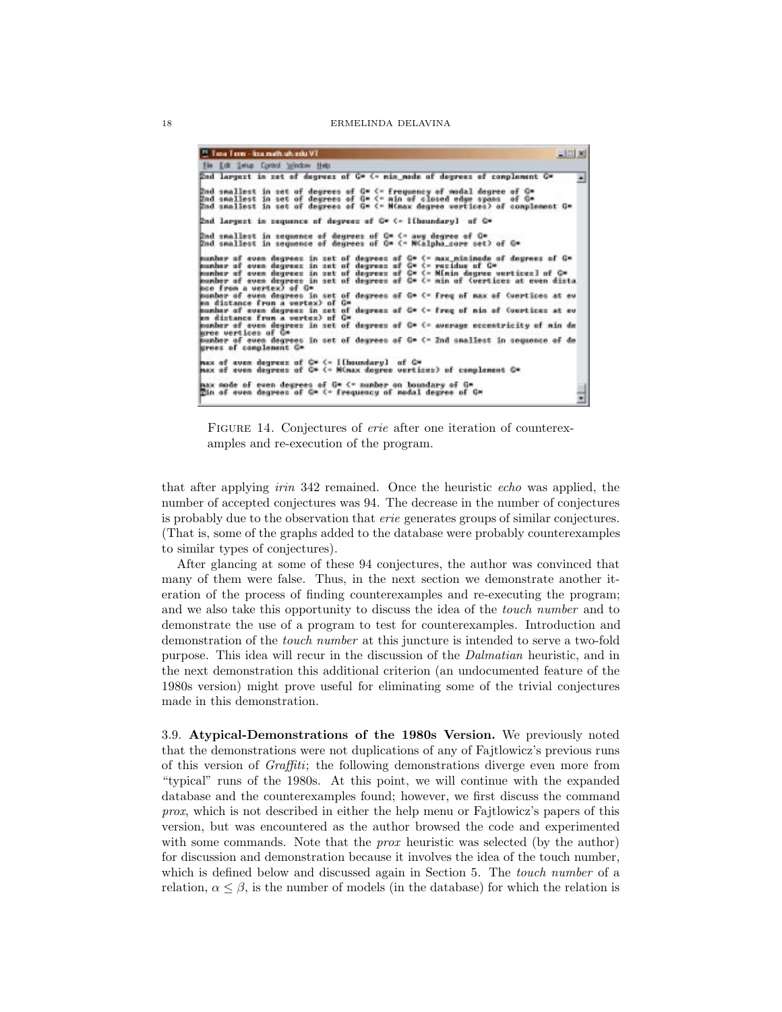| <sup>21</sup> Time Time - Imamath shared VT                                                                                                                                                                                                                                                                                                                                                                                                                                  | $-121$ $\times$ |
|------------------------------------------------------------------------------------------------------------------------------------------------------------------------------------------------------------------------------------------------------------------------------------------------------------------------------------------------------------------------------------------------------------------------------------------------------------------------------|-----------------|
| File Edit Swiss Control Window Help                                                                                                                                                                                                                                                                                                                                                                                                                                          |                 |
| End largest in set of degrees of G* <- nin node of degrees of complement G*                                                                                                                                                                                                                                                                                                                                                                                                  |                 |
| <u>Rnd smallest in set of degrees of C* &lt;= frequency of modal degree of C*</u><br>2nd smallest in set of degrees of G* <= min of closed edge spans of G*<br>Znd smallest in set of degrees of G* <= M <nax degree="" wertices=""> of complement G*</nax>                                                                                                                                                                                                                  |                 |
| End largest in sequence of degrees of G* (-   [boundary] of G*                                                                                                                                                                                                                                                                                                                                                                                                               |                 |
| End smallest in sequence of degrees of C≈ <= avy degree of C≈<br>Rnd smallest in sequence of degrees of G* <= NCalpha_core set> of G*                                                                                                                                                                                                                                                                                                                                        |                 |
| munber of even degrees in set of degrees of G* <- max_minimede of degrees of G*<br>number of even degreez in zet of degreez of G= <- rezidue of G=<br>mumber of even degrees in set of degrees of C= <- Mimin degree vertices] of C=<br>humber of even degrees in set of degrees of C* <= min of (vertices at even dista<br>moe from a vertex) of G*<br>pumber of even degrees in set of degrees of G* <= freq of max of (vertices at ev<br>en distance from a vertex) of G* |                 |
| munber of even degrees in set of degrees of G* <- freq of nin of (vertices at ev<br>en distance from a vertex) of C*                                                                                                                                                                                                                                                                                                                                                         |                 |
| pumber of even degrees in set of degrees of C= <= average eccentricity of min de<br>siree wertiess of C*                                                                                                                                                                                                                                                                                                                                                                     |                 |
| munber of even degrees in set of degrees of G* <= 2nd snallest in sequence of de<br>grees of complement G*                                                                                                                                                                                                                                                                                                                                                                   |                 |
| max of even degreez of $G*$ (= IIboundary) of $G*$<br>max of even degrees of C* <= N <nax c*<="" conglement="" degree="" of="" td="" vertices)=""><td></td></nax>                                                                                                                                                                                                                                                                                                            |                 |
| max mode of even degrees of G* <= number on boundary of G*<br>Tin of even degrees of G* (- frequency of nodal degree of G*                                                                                                                                                                                                                                                                                                                                                   |                 |

Figure 14. Conjectures of *erie* after one iteration of counterexamples and re-execution of the program.

that after applying *irin* 342 remained. Once the heuristic *echo* was applied, the number of accepted conjectures was 94. The decrease in the number of conjectures is probably due to the observation that *erie* generates groups of similar conjectures. (That is, some of the graphs added to the database were probably counterexamples to similar types of conjectures).

After glancing at some of these 94 conjectures, the author was convinced that many of them were false. Thus, in the next section we demonstrate another iteration of the process of finding counterexamples and re-executing the program; and we also take this opportunity to discuss the idea of the *touch number* and to demonstrate the use of a program to test for counterexamples. Introduction and demonstration of the *touch number* at this juncture is intended to serve a two-fold purpose. This idea will recur in the discussion of the *Dalmatian* heuristic, and in the next demonstration this additional criterion (an undocumented feature of the 1980s version) might prove useful for eliminating some of the trivial conjectures made in this demonstration.

3.9. **Atypical-Demonstrations of the 1980s Version.** We previously noted that the demonstrations were not duplications of any of Fajtlowicz's previous runs of this version of *Graffiti*; the following demonstrations diverge even more from "typical" runs of the 1980s. At this point, we will continue with the expanded database and the counterexamples found; however, we first discuss the command *prox*, which is not described in either the help menu or Fajtlowicz's papers of this version, but was encountered as the author browsed the code and experimented with some commands. Note that the *prox* heuristic was selected (by the author) for discussion and demonstration because it involves the idea of the touch number, which is defined below and discussed again in Section 5. The *touch number* of a relation,  $\alpha \leq \beta$ , is the number of models (in the database) for which the relation is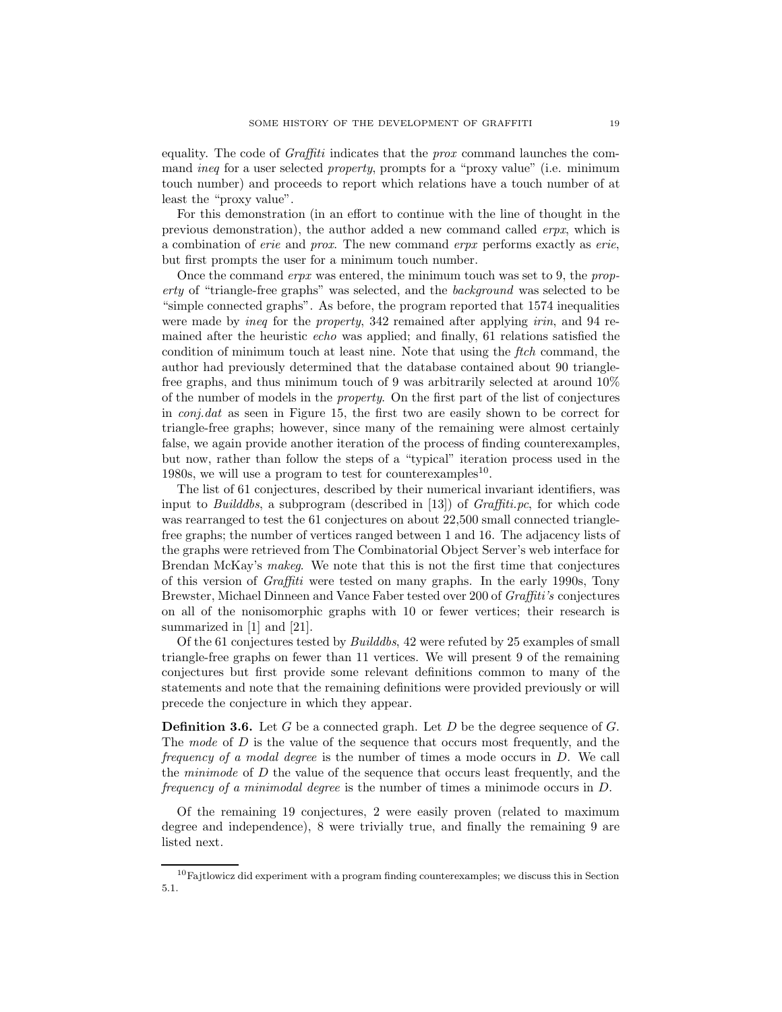equality. The code of *Graffiti* indicates that the *prox* command launches the command *ineq* for a user selected *property*, prompts for a "proxy value" (i.e. minimum touch number) and proceeds to report which relations have a touch number of at least the "proxy value".

For this demonstration (in an effort to continue with the line of thought in the previous demonstration), the author added a new command called *erpx*, which is a combination of *erie* and *prox*. The new command *erpx* performs exactly as *erie*, but first prompts the user for a minimum touch number.

Once the command *erpx* was entered, the minimum touch was set to 9, the *property* of "triangle-free graphs" was selected, and the *background* was selected to be "simple connected graphs". As before, the program reported that 1574 inequalities were made by *ineq* for the *property*, 342 remained after applying *irin*, and 94 remained after the heuristic *echo* was applied; and finally, 61 relations satisfied the condition of minimum touch at least nine. Note that using the *ftch* command, the author had previously determined that the database contained about 90 trianglefree graphs, and thus minimum touch of 9 was arbitrarily selected at around 10% of the number of models in the *property*. On the first part of the list of conjectures in *conj.dat* as seen in Figure 15, the first two are easily shown to be correct for triangle-free graphs; however, since many of the remaining were almost certainly false, we again provide another iteration of the process of finding counterexamples, but now, rather than follow the steps of a "typical" iteration process used in the 1980s, we will use a program to test for counterexamples<sup>10</sup>.

The list of 61 conjectures, described by their numerical invariant identifiers, was input to *Builddbs*, a subprogram (described in [13]) of *Graffiti.pc*, for which code was rearranged to test the 61 conjectures on about 22,500 small connected trianglefree graphs; the number of vertices ranged between 1 and 16. The adjacency lists of the graphs were retrieved from The Combinatorial Object Server's web interface for Brendan McKay's *makeg*. We note that this is not the first time that conjectures of this version of *Graffiti* were tested on many graphs. In the early 1990s, Tony Brewster, Michael Dinneen and Vance Faber tested over 200 of *Graffiti's* conjectures on all of the nonisomorphic graphs with 10 or fewer vertices; their research is summarized in [1] and [21].

Of the 61 conjectures tested by *Builddbs*, 42 were refuted by 25 examples of small triangle-free graphs on fewer than 11 vertices. We will present 9 of the remaining conjectures but first provide some relevant definitions common to many of the statements and note that the remaining definitions were provided previously or will precede the conjecture in which they appear.

**Definition 3.6.** Let G be a connected graph. Let D be the degree sequence of G. The *mode* of D is the value of the sequence that occurs most frequently, and the *frequency of a modal degree* is the number of times a mode occurs in D. We call the *minimode* of D the value of the sequence that occurs least frequently, and the *frequency of a minimodal degree* is the number of times a minimode occurs in D.

Of the remaining 19 conjectures, 2 were easily proven (related to maximum degree and independence), 8 were trivially true, and finally the remaining 9 are listed next.

 $10F$ ajtlowicz did experiment with a program finding counterexamples; we discuss this in Section 5.1.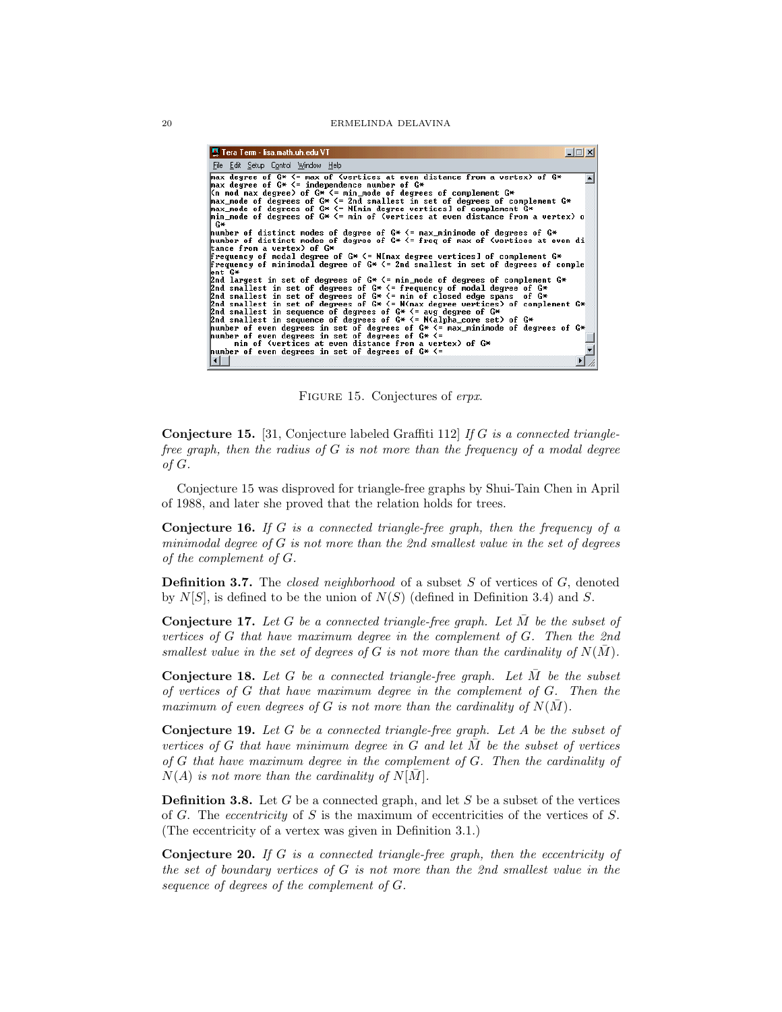| 巴 Tera Term - lisa.math.uh.edu VT                                                                                                                                                                                                                                   |  |
|---------------------------------------------------------------------------------------------------------------------------------------------------------------------------------------------------------------------------------------------------------------------|--|
| File Edit Setup Control Window Help                                                                                                                                                                                                                                 |  |
| max degree of $G* \leq m$ ax of (vertices at even distance from a vertex) of $G*$<br>max degree of $G* \leq i$ ndependence number of $G*$                                                                                                                           |  |
| Kn mod max degree) of G* <= min_mode of degrees of complement G*<br>max_mode of degrees of $G* \le 2$ nd smallest in set of degrees of complement $G*$<br>max_mode of degrees of G* $\leq$ = N[min degree vertices] of complement G*                                |  |
| min_mode of degrees of $G^* \leq \min$ of (vertices at even distance from a vertex) o<br>С×                                                                                                                                                                         |  |
| mumber of distinct modes of degree of $G^* \leq m$ ax minimode of degrees of $G^*$<br>number of distinct modes of degree of $G* \leq$ freq of max of (vertices at even di<br>tance from a vertex) of G*                                                             |  |
| Frequency of modal degree of $G*$ $\leq$ N[max degree vertices] of complement $G*$<br>Frequency of minimodal degree of $G* \le 2$ nd smallest in set of degrees of comple<br>ent G*                                                                                 |  |
| 2nd largest in set of degrees of $G^* \leq \min$ node of degrees of complement $G^*$<br>2nd smallest in set of degrees of $G* \leq$ frequency of modal degree of $G*$<br>2nd smallest in set of degrees of $G* \leq \overline{\ }$ min of closed edge spans of $G*$ |  |
| 2nd smallest in set of degrees of G* $\leq$ N(max degree vertices) of complement G*<br>2nd smallest in sequence of degrees of $G* \leq z$ avg degree of $G*$                                                                                                        |  |
| 2nd smallest in sequence of degrees of $G^* \leq N$ Nalpha_core set) of $G^*$<br>number of even degrees in set of degrees of $G^* \leq^=$ max_minimode of degrees of $G^*$<br>number of even degrees in set of degrees of $G*$ $\leftarrow$                         |  |
| min of (vertices at even distance from a vertex) of G*<br>mumber of even degrees in set of degrees of $G*$ $\leftarrow$                                                                                                                                             |  |
| $\vert \cdot \vert$                                                                                                                                                                                                                                                 |  |

Figure 15. Conjectures of *erpx*.

**Conjecture 15.** [31, Conjecture labeled Graffiti 112] *If* G *is a connected trianglefree graph, then the radius of* G *is not more than the frequency of a modal degree of* G*.*

Conjecture 15 was disproved for triangle-free graphs by Shui-Tain Chen in April of 1988, and later she proved that the relation holds for trees.

**Conjecture 16.** *If* G *is a connected triangle-free graph, then the frequency of a minimodal degree of* G *is not more than the 2nd smallest value in the set of degrees of the complement of* G*.*

**Definition 3.7.** The *closed neighborhood* of a subset S of vertices of G, denoted by  $N[S]$ , is defined to be the union of  $N(S)$  (defined in Definition 3.4) and S.

**Conjecture 17.** *Let* G *be a connected triangle-free graph. Let* M¯ *be the subset of vertices of* G *that have maximum degree in the complement of* G*. Then the 2nd smallest value in the set of degrees of* G *is not more than the cardinality of*  $N(\overline{M})$ *.* 

**Conjecture 18.** Let  $G$  be a connected triangle-free graph. Let  $\overline{M}$  be the subset *of vertices of* G *that have maximum degree in the complement of* G*. Then the maximum of even degrees of* G *is not more than the cardinality of*  $N(M)$ *.* 

**Conjecture 19.** *Let* G *be a connected triangle-free graph. Let* A *be the subset of vertices of* G *that have minimum degree in* G *and let*  $\overline{M}$  *be the subset of vertices of* G *that have maximum degree in the complement of* G*. Then the cardinality of*  $N(A)$  *is not more than the cardinality of*  $N[\overline{M}]$ *.* 

**Definition 3.8.** Let  $G$  be a connected graph, and let  $S$  be a subset of the vertices of G. The *eccentricity* of S is the maximum of eccentricities of the vertices of S. (The eccentricity of a vertex was given in Definition 3.1.)

**Conjecture 20.** *If* G *is a connected triangle-free graph, then the eccentricity of the set of boundary vertices of* G *is not more than the 2nd smallest value in the sequence of degrees of the complement of* G*.*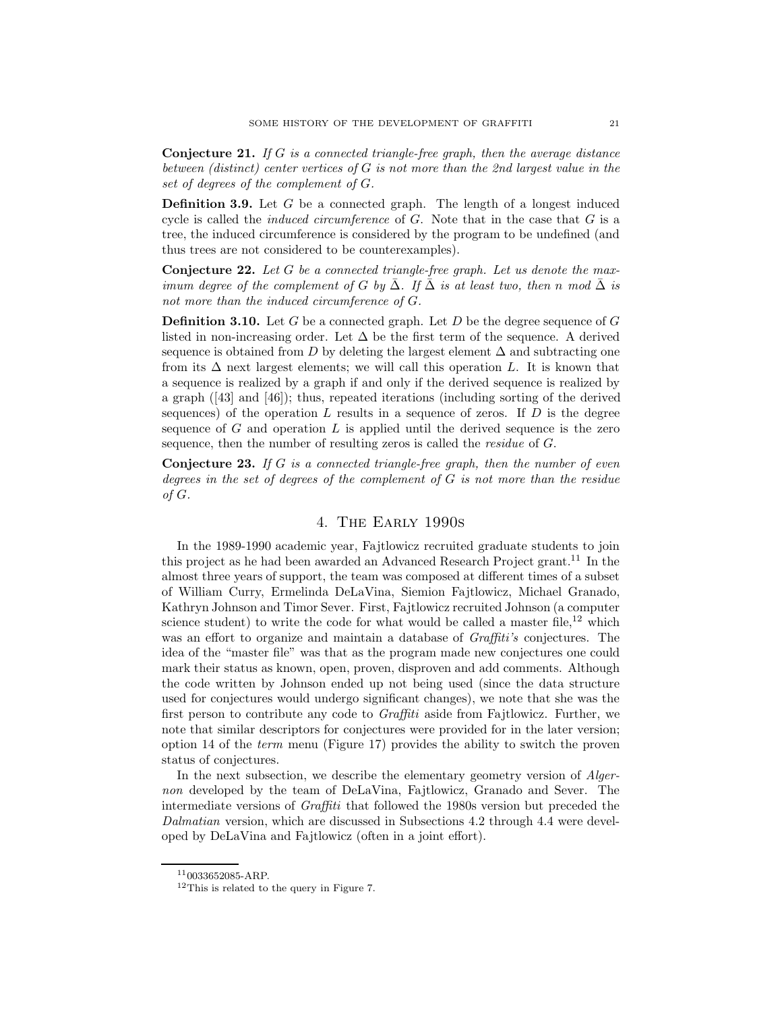**Conjecture 21.** *If* G *is a connected triangle-free graph, then the average distance between (distinct) center vertices of* G *is not more than the 2nd largest value in the set of degrees of the complement of* G*.*

**Definition 3.9.** Let G be a connected graph. The length of a longest induced cycle is called the *induced circumference* of G. Note that in the case that G is a tree, the induced circumference is considered by the program to be undefined (and thus trees are not considered to be counterexamples).

**Conjecture 22.** *Let* G *be a connected triangle-free graph. Let us denote the maximum degree of the complement of* G *by*  $\overline{\Delta}$ . If  $\overline{\Delta}$  *is at least two, then* n *mod*  $\overline{\Delta}$  *is not more than the induced circumference of* G*.*

**Definition 3.10.** Let G be a connected graph. Let D be the degree sequence of G listed in non-increasing order. Let  $\Delta$  be the first term of the sequence. A derived sequence is obtained from D by deleting the largest element  $\Delta$  and subtracting one from its  $\Delta$  next largest elements; we will call this operation L. It is known that a sequence is realized by a graph if and only if the derived sequence is realized by a graph ([43] and [46]); thus, repeated iterations (including sorting of the derived sequences) of the operation  $L$  results in a sequence of zeros. If  $D$  is the degree sequence of  $G$  and operation  $L$  is applied until the derived sequence is the zero sequence, then the number of resulting zeros is called the *residue* of G.

**Conjecture 23.** *If* G *is a connected triangle-free graph, then the number of even degrees in the set of degrees of the complement of* G *is not more than the residue of* G*.*

# 4. The Early 1990s

In the 1989-1990 academic year, Fajtlowicz recruited graduate students to join this project as he had been awarded an Advanced Research Project grant.<sup>11</sup> In the almost three years of support, the team was composed at different times of a subset of William Curry, Ermelinda DeLaVina, Siemion Fajtlowicz, Michael Granado, Kathryn Johnson and Timor Sever. First, Fajtlowicz recruited Johnson (a computer science student) to write the code for what would be called a master file,  $^{12}$  which was an effort to organize and maintain a database of *Graffiti's* conjectures. The idea of the "master file" was that as the program made new conjectures one could mark their status as known, open, proven, disproven and add comments. Although the code written by Johnson ended up not being used (since the data structure used for conjectures would undergo significant changes), we note that she was the first person to contribute any code to *Graffiti* aside from Fajtlowicz. Further, we note that similar descriptors for conjectures were provided for in the later version; option 14 of the *term* menu (Figure 17) provides the ability to switch the proven status of conjectures.

In the next subsection, we describe the elementary geometry version of *Algernon* developed by the team of DeLaVina, Fajtlowicz, Granado and Sever. The intermediate versions of *Graffiti* that followed the 1980s version but preceded the *Dalmatian* version, which are discussed in Subsections 4.2 through 4.4 were developed by DeLaVina and Fajtlowicz (often in a joint effort).

 $11$ 0033652085-ARP.

<sup>12</sup>This is related to the query in Figure 7.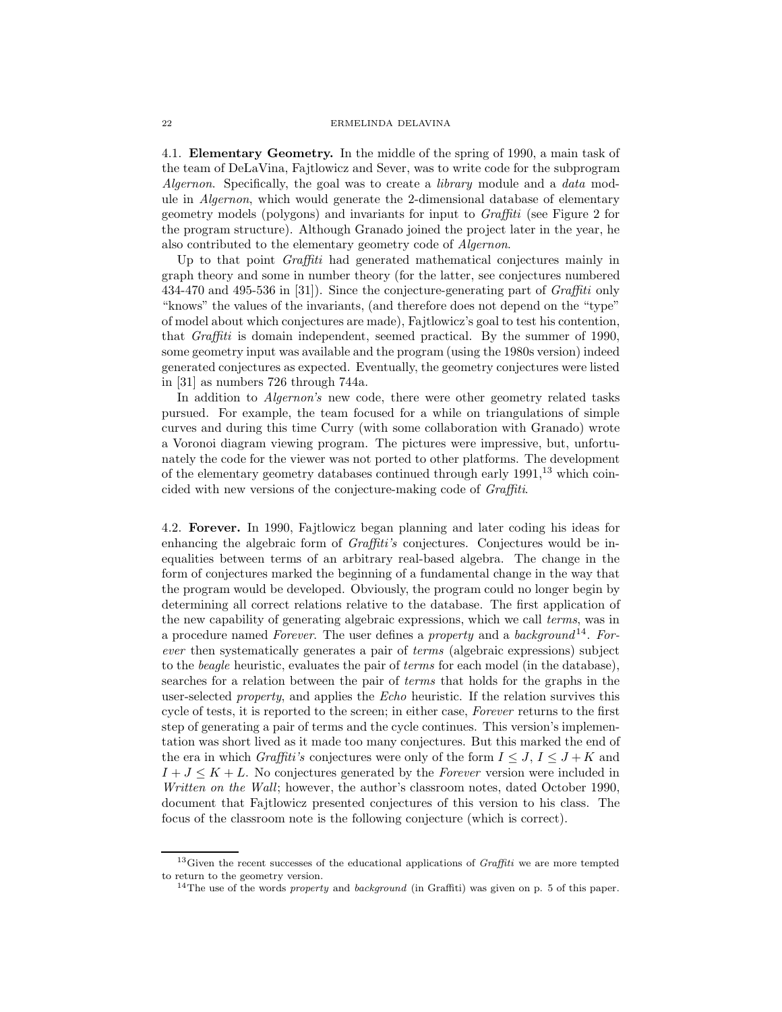4.1. **Elementary Geometry.** In the middle of the spring of 1990, a main task of the team of DeLaVina, Fajtlowicz and Sever, was to write code for the subprogram *Algernon*. Specifically, the goal was to create a *library* module and a *data* module in *Algernon*, which would generate the 2-dimensional database of elementary geometry models (polygons) and invariants for input to *Graffiti* (see Figure 2 for the program structure). Although Granado joined the project later in the year, he also contributed to the elementary geometry code of *Algernon*.

Up to that point *Graffiti* had generated mathematical conjectures mainly in graph theory and some in number theory (for the latter, see conjectures numbered 434-470 and 495-536 in [31]). Since the conjecture-generating part of *Graffiti* only "knows" the values of the invariants, (and therefore does not depend on the "type" of model about which conjectures are made), Fajtlowicz's goal to test his contention, that *Graffiti* is domain independent, seemed practical. By the summer of 1990, some geometry input was available and the program (using the 1980s version) indeed generated conjectures as expected. Eventually, the geometry conjectures were listed in [31] as numbers 726 through 744a.

In addition to *Algernon's* new code, there were other geometry related tasks pursued. For example, the team focused for a while on triangulations of simple curves and during this time Curry (with some collaboration with Granado) wrote a Voronoi diagram viewing program. The pictures were impressive, but, unfortunately the code for the viewer was not ported to other platforms. The development of the elementary geometry databases continued through early  $1991<sup>13</sup>$  which coincided with new versions of the conjecture-making code of *Graffiti*.

4.2. **Forever.** In 1990, Fajtlowicz began planning and later coding his ideas for enhancing the algebraic form of *Graffiti's* conjectures. Conjectures would be inequalities between terms of an arbitrary real-based algebra. The change in the form of conjectures marked the beginning of a fundamental change in the way that the program would be developed. Obviously, the program could no longer begin by determining all correct relations relative to the database. The first application of the new capability of generating algebraic expressions, which we call *terms*, was in a procedure named *Forever*. The user defines a *property* and a *background* <sup>14</sup>. *Forever* then systematically generates a pair of *terms* (algebraic expressions) subject to the *beagle* heuristic, evaluates the pair of *terms* for each model (in the database), searches for a relation between the pair of *terms* that holds for the graphs in the user-selected *property*, and applies the *Echo* heuristic. If the relation survives this cycle of tests, it is reported to the screen; in either case, *Forever* returns to the first step of generating a pair of terms and the cycle continues. This version's implementation was short lived as it made too many conjectures. But this marked the end of the era in which *Graffiti's* conjectures were only of the form  $I \leq J, I \leq J + K$  and  $I + J \leq K + L$ . No conjectures generated by the *Forever* version were included in *Written on the Wall*; however, the author's classroom notes, dated October 1990, document that Fajtlowicz presented conjectures of this version to his class. The focus of the classroom note is the following conjecture (which is correct).

 $13$  Given the recent successes of the educational applications of *Graffiti* we are more tempted to return to the geometry version.

<sup>&</sup>lt;sup>14</sup>The use of the words *property* and *background* (in Graffiti) was given on p. 5 of this paper.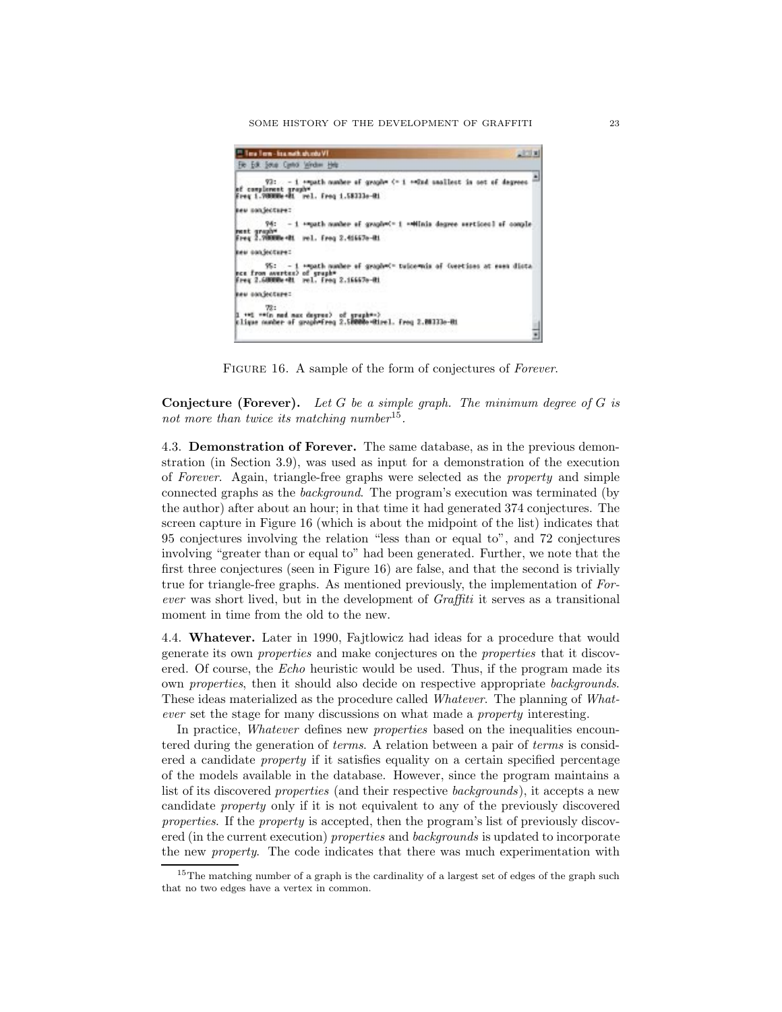SOME HISTORY OF THE DEVELOPMENT OF GRAFFITI 23

| Time Time - Sea math.gly.mb/VT                                                                                                                    | 101x |
|---------------------------------------------------------------------------------------------------------------------------------------------------|------|
| Fie Edit Soup Canto Window Help                                                                                                                   |      |
| 93: - i «musth number of graph» <- i «wind nanllest in set of degrees<br>of complement graph*<br>Freq 1.70000e-01 rel. Freq 1.58333e-01           |      |
| new nonjecture:                                                                                                                                   |      |
| 94: - 1 *mpath number of graph=C+ 1 ** Hinis degree sertices] of comple<br>ment graph <sup>u</sup><br>Freq 2.70000e+81 rel. Freq 2.41667e-81      |      |
| kew conjecture:                                                                                                                                   |      |
| 95: - 1 + mpath number of graph = tuice mais of (vections at essa dista<br>nce from avertex) of eruphy-<br>Freq 2.60000e+8t rel. freq 2.16667e-8t |      |
| keu oanjecture:                                                                                                                                   |      |
| 72:<br>I **! ** (n ned nax degree) of graph**)<br>kligar number of gruph=freq 2.50000e=Rirel. Freq 2.0033a-Ri                                     |      |

Figure 16. A sample of the form of conjectures of *Forever*.

**Conjecture (Forever).** *Let* G *be a simple graph. The minimum degree of* G *is not more than twice its matching number*<sup>15</sup>*.*

4.3. **Demonstration of Forever.** The same database, as in the previous demonstration (in Section 3.9), was used as input for a demonstration of the execution of *Forever*. Again, triangle-free graphs were selected as the *property* and simple connected graphs as the *background*. The program's execution was terminated (by the author) after about an hour; in that time it had generated 374 conjectures. The screen capture in Figure 16 (which is about the midpoint of the list) indicates that 95 conjectures involving the relation "less than or equal to", and 72 conjectures involving "greater than or equal to" had been generated. Further, we note that the first three conjectures (seen in Figure 16) are false, and that the second is trivially true for triangle-free graphs. As mentioned previously, the implementation of *Forever* was short lived, but in the development of *Graffiti* it serves as a transitional moment in time from the old to the new.

4.4. **Whatever.** Later in 1990, Fajtlowicz had ideas for a procedure that would generate its own *properties* and make conjectures on the *properties* that it discovered. Of course, the *Echo* heuristic would be used. Thus, if the program made its own *properties*, then it should also decide on respective appropriate *backgrounds*. These ideas materialized as the procedure called *Whatever*. The planning of *Whatever* set the stage for many discussions on what made a *property* interesting.

In practice, *Whatever* defines new *properties* based on the inequalities encountered during the generation of *terms*. A relation between a pair of *terms* is considered a candidate *property* if it satisfies equality on a certain specified percentage of the models available in the database. However, since the program maintains a list of its discovered *properties* (and their respective *backgrounds*), it accepts a new candidate *property* only if it is not equivalent to any of the previously discovered *properties*. If the *property* is accepted, then the program's list of previously discovered (in the current execution) *properties* and *backgrounds* is updated to incorporate the new *property*. The code indicates that there was much experimentation with

 $15$ The matching number of a graph is the cardinality of a largest set of edges of the graph such that no two edges have a vertex in common.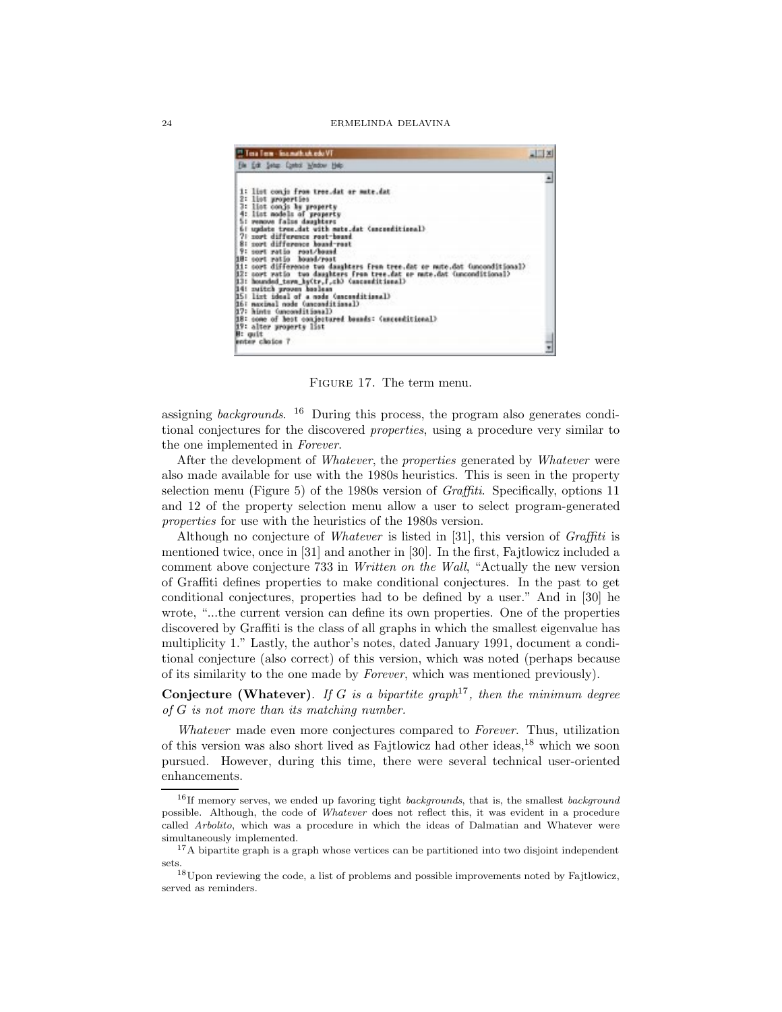|                | <sup>11</sup> Tota Torm - list math.uh.edu VT                                      |  |
|----------------|------------------------------------------------------------------------------------|--|
|                | File Edit Setup Control Window Help                                                |  |
|                |                                                                                    |  |
|                | 1: list conjs from tree.dat or mute.dat                                            |  |
|                | 2: list properties<br>3: Ilst conjs he property                                    |  |
|                | 4: list models of property                                                         |  |
|                | 5: remove falss daughters<br>61 update tree.dat with mate.dat (asconditional)      |  |
|                | 7: sort difference root-bound                                                      |  |
|                | 8: sort difference bound-rost                                                      |  |
|                | 9: sort ratio root/bound<br>18: cort ratio hound/rost                              |  |
|                | <b>Bi:</b> cort difference two daughters from tree.dat or mute.dat (unconditional) |  |
|                | 32: sort ratio two daughters from tree.dat or mute.dat (unconditional)             |  |
|                | (lasaitiseas) Girl, l,clift, l,clift, house                                        |  |
|                | 14: nuitch proven booless<br>15: list ideal of a node (ascenditional)              |  |
|                | I6: maximal node (unconditional)                                                   |  |
|                | B7: hints Cunconditional)                                                          |  |
|                | 18: come of hest conjectured bounds: (uncceditional)<br>19: alter property list    |  |
| <b>H:</b> guit |                                                                                    |  |
|                | enter cloice 7                                                                     |  |

Figure 17. The term menu.

assigning *backgrounds*. <sup>16</sup> During this process, the program also generates conditional conjectures for the discovered *properties*, using a procedure very similar to the one implemented in *Forever*.

After the development of *Whatever*, the *properties* generated by *Whatever* were also made available for use with the 1980s heuristics. This is seen in the property selection menu (Figure 5) of the 1980s version of *Graffiti*. Specifically, options 11 and 12 of the property selection menu allow a user to select program-generated *properties* for use with the heuristics of the 1980s version.

Although no conjecture of *Whatever* is listed in [31], this version of *Graffiti* is mentioned twice, once in [31] and another in [30]. In the first, Fajtlowicz included a comment above conjecture 733 in *Written on the Wall*, "Actually the new version of Graffiti defines properties to make conditional conjectures. In the past to get conditional conjectures, properties had to be defined by a user." And in [30] he wrote, "...the current version can define its own properties. One of the properties discovered by Graffiti is the class of all graphs in which the smallest eigenvalue has multiplicity 1." Lastly, the author's notes, dated January 1991, document a conditional conjecture (also correct) of this version, which was noted (perhaps because of its similarity to the one made by *Forever*, which was mentioned previously).

**Conjecture (Whatever)**. *If* G *is a bipartite graph*<sup>17</sup>*, then the minimum degree of* G *is not more than its matching number.*

*Whatever* made even more conjectures compared to *Forever*. Thus, utilization of this version was also short lived as Fajtlowicz had other ideas,<sup>18</sup> which we soon pursued. However, during this time, there were several technical user-oriented enhancements.

 $16$ If memory serves, we ended up favoring tight *backgrounds*, that is, the smallest *background* possible. Although, the code of Whatever does not reflect this, it was evident in a procedure called Arbolito, which was a procedure in which the ideas of Dalmatian and Whatever were simultaneously implemented.

 $17A$  bipartite graph is a graph whose vertices can be partitioned into two disjoint independent sets.

<sup>18</sup>Upon reviewing the code, a list of problems and possible improvements noted by Fajtlowicz, served as reminders.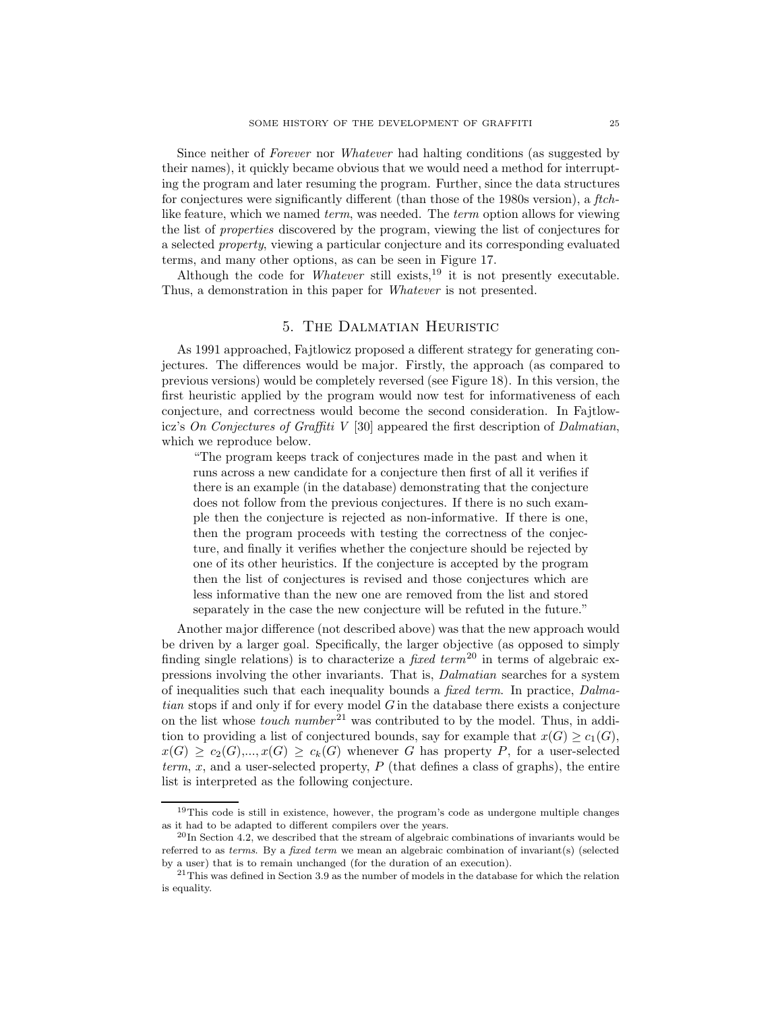Since neither of *Forever* nor *Whatever* had halting conditions (as suggested by their names), it quickly became obvious that we would need a method for interrupting the program and later resuming the program. Further, since the data structures for conjectures were significantly different (than those of the 1980s version), a *ftch*like feature, which we named *term*, was needed. The *term* option allows for viewing the list of *properties* discovered by the program, viewing the list of conjectures for a selected *property*, viewing a particular conjecture and its corresponding evaluated terms, and many other options, as can be seen in Figure 17.

Although the code for *Whatever* still exists,<sup>19</sup> it is not presently executable. Thus, a demonstration in this paper for *Whatever* is not presented.

## 5. The Dalmatian Heuristic

As 1991 approached, Fajtlowicz proposed a different strategy for generating conjectures. The differences would be major. Firstly, the approach (as compared to previous versions) would be completely reversed (see Figure 18). In this version, the first heuristic applied by the program would now test for informativeness of each conjecture, and correctness would become the second consideration. In Fajtlowicz's *On Conjectures of Graffiti V* [30] appeared the first description of *Dalmatian*, which we reproduce below.

"The program keeps track of conjectures made in the past and when it runs across a new candidate for a conjecture then first of all it verifies if there is an example (in the database) demonstrating that the conjecture does not follow from the previous conjectures. If there is no such example then the conjecture is rejected as non-informative. If there is one, then the program proceeds with testing the correctness of the conjecture, and finally it verifies whether the conjecture should be rejected by one of its other heuristics. If the conjecture is accepted by the program then the list of conjectures is revised and those conjectures which are less informative than the new one are removed from the list and stored separately in the case the new conjecture will be refuted in the future."

Another major difference (not described above) was that the new approach would be driven by a larger goal. Specifically, the larger objective (as opposed to simply finding single relations) is to characterize a *fixed term*<sup>20</sup> in terms of algebraic expressions involving the other invariants. That is, *Dalmatian* searches for a system of inequalities such that each inequality bounds a *fixed term*. In practice, *Dalmatian* stops if and only if for every model G in the database there exists a conjecture on the list whose *touch number*<sup>21</sup> was contributed to by the model. Thus, in addition to providing a list of conjectured bounds, say for example that  $x(G) \ge c_1(G)$ ,  $x(G) \ge c_2(G),...,x(G) \ge c_k(G)$  whenever G has property P, for a user-selected *term, x,* and a user-selected property,  $P$  (that defines a class of graphs), the entire list is interpreted as the following conjecture.

<sup>&</sup>lt;sup>19</sup>This code is still in existence, however, the program's code as undergone multiple changes as it had to be adapted to different compilers over the years.

 $^{20}$ In Section 4.2, we described that the stream of algebraic combinations of invariants would be referred to as terms. By a fixed term we mean an algebraic combination of invariant(s) (selected by a user) that is to remain unchanged (for the duration of an execution).

 $21$ This was defined in Section 3.9 as the number of models in the database for which the relation is equality.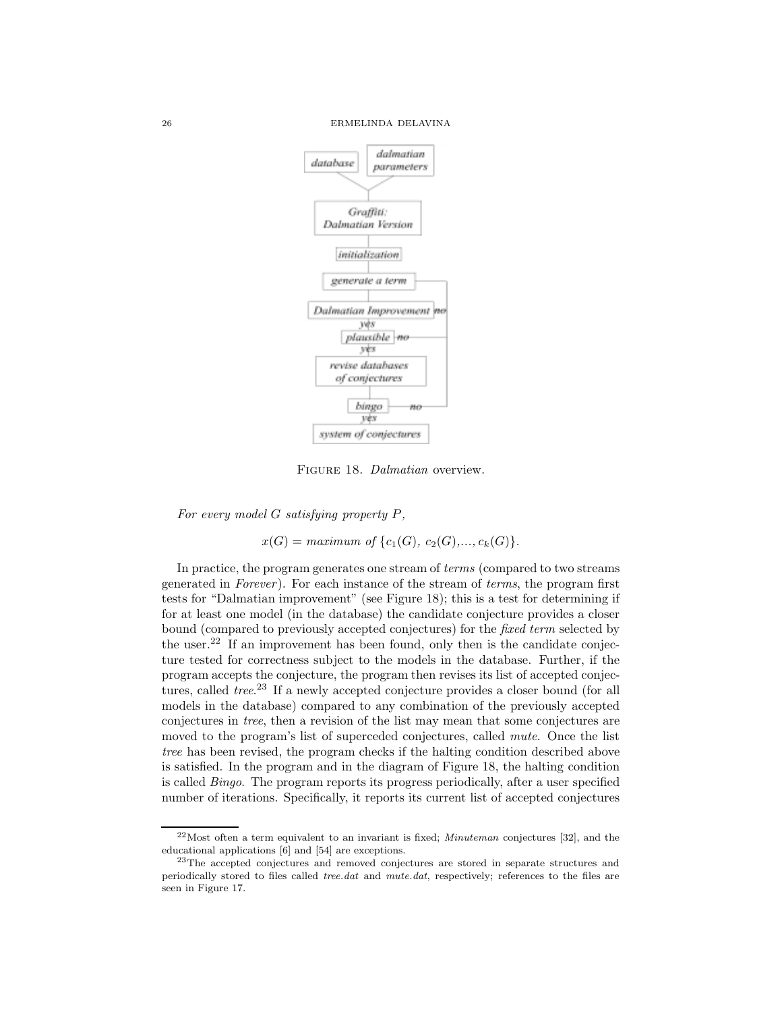

Figure 18. *Dalmatian* overview.

*For every model* G *satisfying property* P*,*

 $x(G) = maximum \text{ of } \{c_1(G), c_2(G),..., c_k(G)\}.$ 

In practice, the program generates one stream of *terms* (compared to two streams generated in *Forever* ). For each instance of the stream of *terms*, the program first tests for "Dalmatian improvement" (see Figure 18); this is a test for determining if for at least one model (in the database) the candidate conjecture provides a closer bound (compared to previously accepted conjectures) for the *fixed term* selected by the user.<sup>22</sup> If an improvement has been found, only then is the candidate conjecture tested for correctness subject to the models in the database. Further, if the program accepts the conjecture, the program then revises its list of accepted conjectures, called *tree*. <sup>23</sup> If a newly accepted conjecture provides a closer bound (for all models in the database) compared to any combination of the previously accepted conjectures in *tree*, then a revision of the list may mean that some conjectures are moved to the program's list of superceded conjectures, called *mute*. Once the list *tree* has been revised, the program checks if the halting condition described above is satisfied. In the program and in the diagram of Figure 18, the halting condition is called *Bingo*. The program reports its progress periodically, after a user specified number of iterations. Specifically, it reports its current list of accepted conjectures

 $22$ Most often a term equivalent to an invariant is fixed; *Minuteman* conjectures [32], and the educational applications [6] and [54] are exceptions.

<sup>&</sup>lt;sup>23</sup>The accepted conjectures and removed conjectures are stored in separate structures and periodically stored to files called tree.dat and mute.dat, respectively; references to the files are seen in Figure 17.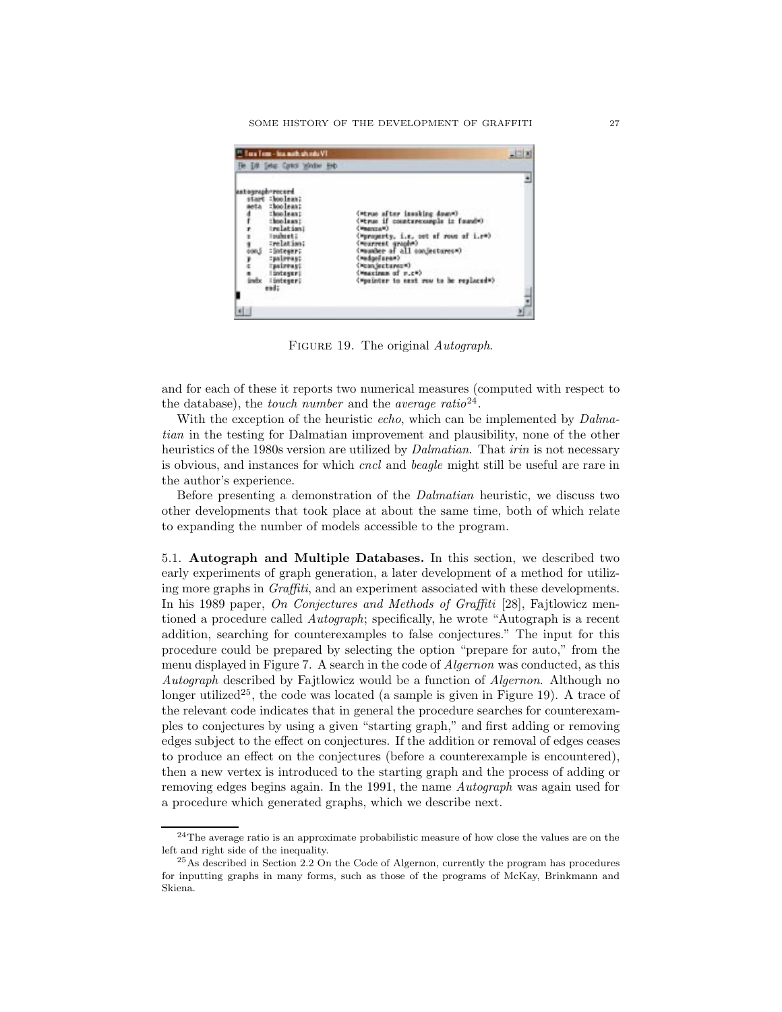|                                                                     | <sup>22</sup> Tara Tem - Isa math shinds VT<br>The Edit Setus Carlos Scholar Ends                                                      |                                                                                                                                                                                                                                                                                                                                |  |
|---------------------------------------------------------------------|----------------------------------------------------------------------------------------------------------------------------------------|--------------------------------------------------------------------------------------------------------------------------------------------------------------------------------------------------------------------------------------------------------------------------------------------------------------------------------|--|
| touraph record.<br>start :boolean;<br>eta :boolean:<br>andx<br>end: | :boolean:<br>:boolsas:<br>Inclation!<br>Inchesti<br>Trelation:<br>:Boteuer:<br>:pairras:<br>:paireaut<br><b>Integer!</b><br>: integer; | (Mtrue after issoking down=)<br>(When if countercomple is foundw)<br>(Magazine)<br>(Mproperty, i.e. not of roam of i.rm)<br>Concept investor<br>(mussler of all conjectures»)<br>(madged premi)<br>(Moan SectarezM)<br>(Measings of r.c*).<br>("pointer to east row to be replaced")<br>111 - Picture Studio I V 10 - Politica |  |

Figure 19. The original *Autograph*.

and for each of these it reports two numerical measures (computed with respect to the database), the *touch number* and the *average ratio*<sup>24</sup>.

With the exception of the heuristic *echo*, which can be implemented by *Dalmatian* in the testing for Dalmatian improvement and plausibility, none of the other heuristics of the 1980s version are utilized by *Dalmatian*. That *irin* is not necessary is obvious, and instances for which *cncl* and *beagle* might still be useful are rare in the author's experience.

Before presenting a demonstration of the *Dalmatian* heuristic, we discuss two other developments that took place at about the same time, both of which relate to expanding the number of models accessible to the program.

5.1. **Autograph and Multiple Databases.** In this section, we described two early experiments of graph generation, a later development of a method for utilizing more graphs in *Graffiti*, and an experiment associated with these developments. In his 1989 paper, *On Conjectures and Methods of Graffiti* [28], Fajtlowicz mentioned a procedure called *Autograph*; specifically, he wrote "Autograph is a recent addition, searching for counterexamples to false conjectures." The input for this procedure could be prepared by selecting the option "prepare for auto," from the menu displayed in Figure 7. A search in the code of *Algernon* was conducted, as this *Autograph* described by Fajtlowicz would be a function of *Algernon*. Although no longer utilized<sup>25</sup>, the code was located (a sample is given in Figure 19). A trace of the relevant code indicates that in general the procedure searches for counterexamples to conjectures by using a given "starting graph," and first adding or removing edges subject to the effect on conjectures. If the addition or removal of edges ceases to produce an effect on the conjectures (before a counterexample is encountered), then a new vertex is introduced to the starting graph and the process of adding or removing edges begins again. In the 1991, the name *Autograph* was again used for a procedure which generated graphs, which we describe next.

 $24$ The average ratio is an approximate probabilistic measure of how close the values are on the left and right side of the inequality.

<sup>&</sup>lt;sup>25</sup>As described in Section 2.2 On the Code of Algernon, currently the program has procedures for inputting graphs in many forms, such as those of the programs of McKay, Brinkmann and Skiena.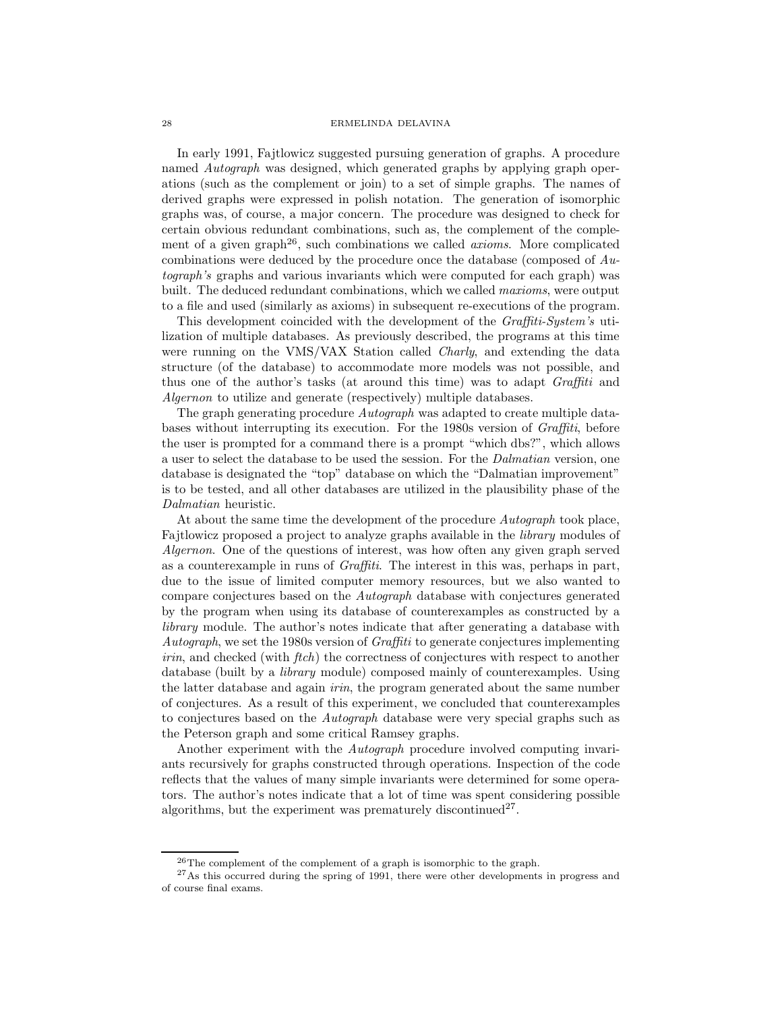In early 1991, Fajtlowicz suggested pursuing generation of graphs. A procedure named *Autograph* was designed, which generated graphs by applying graph operations (such as the complement or join) to a set of simple graphs. The names of derived graphs were expressed in polish notation. The generation of isomorphic graphs was, of course, a major concern. The procedure was designed to check for certain obvious redundant combinations, such as, the complement of the complement of a given graph<sup>26</sup>, such combinations we called *axioms*. More complicated combinations were deduced by the procedure once the database (composed of *Autograph's* graphs and various invariants which were computed for each graph) was built. The deduced redundant combinations, which we called *maxioms*, were output to a file and used (similarly as axioms) in subsequent re-executions of the program.

This development coincided with the development of the *Graffiti-System's* utilization of multiple databases. As previously described, the programs at this time were running on the VMS/VAX Station called *Charly*, and extending the data structure (of the database) to accommodate more models was not possible, and thus one of the author's tasks (at around this time) was to adapt *Graffiti* and *Algernon* to utilize and generate (respectively) multiple databases.

The graph generating procedure *Autograph* was adapted to create multiple databases without interrupting its execution. For the 1980s version of *Graffiti*, before the user is prompted for a command there is a prompt "which dbs?", which allows a user to select the database to be used the session. For the *Dalmatian* version, one database is designated the "top" database on which the "Dalmatian improvement" is to be tested, and all other databases are utilized in the plausibility phase of the *Dalmatian* heuristic.

At about the same time the development of the procedure *Autograph* took place, Fajtlowicz proposed a project to analyze graphs available in the *library* modules of *Algernon*. One of the questions of interest, was how often any given graph served as a counterexample in runs of *Graffiti*. The interest in this was, perhaps in part, due to the issue of limited computer memory resources, but we also wanted to compare conjectures based on the *Autograph* database with conjectures generated by the program when using its database of counterexamples as constructed by a *library* module. The author's notes indicate that after generating a database with *Autograph*, we set the 1980s version of *Graffiti* to generate conjectures implementing *irin*, and checked (with *ftch*) the correctness of conjectures with respect to another database (built by a *library* module) composed mainly of counterexamples. Using the latter database and again *irin*, the program generated about the same number of conjectures. As a result of this experiment, we concluded that counterexamples to conjectures based on the *Autograph* database were very special graphs such as the Peterson graph and some critical Ramsey graphs.

Another experiment with the *Autograph* procedure involved computing invariants recursively for graphs constructed through operations. Inspection of the code reflects that the values of many simple invariants were determined for some operators. The author's notes indicate that a lot of time was spent considering possible algorithms, but the experiment was prematurely discontinued<sup>27</sup>.

 $26$ The complement of the complement of a graph is isomorphic to the graph.

<sup>&</sup>lt;sup>27</sup>As this occurred during the spring of 1991, there were other developments in progress and of course final exams.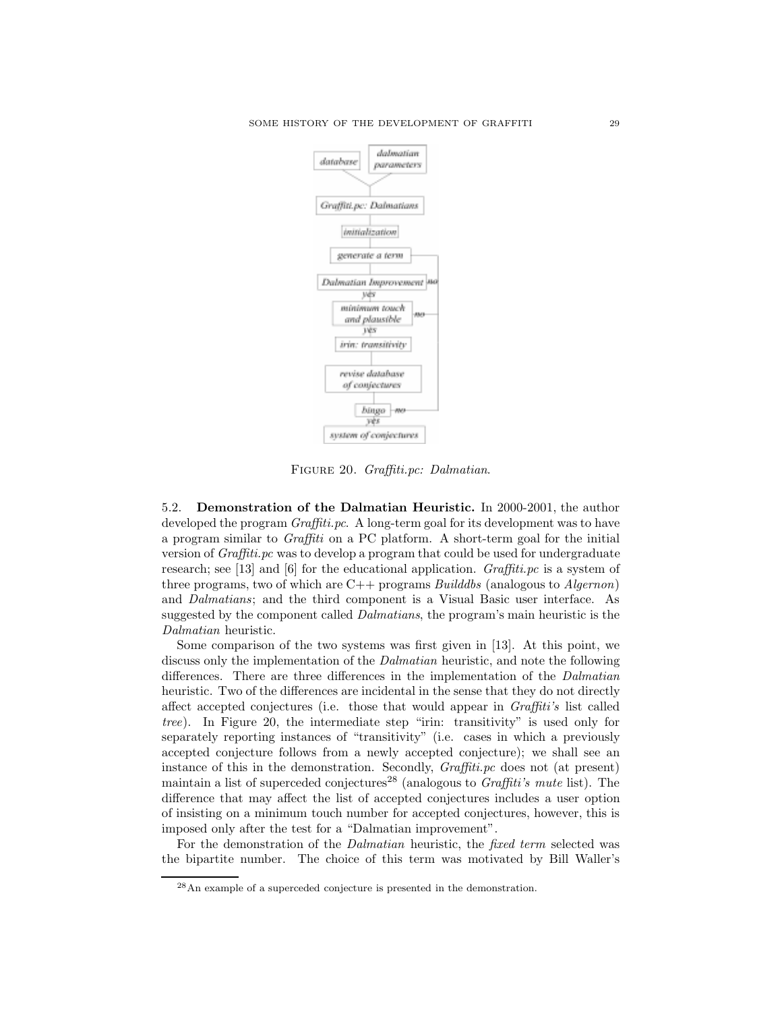

Figure 20. *Graffiti.pc: Dalmatian*.

5.2. **Demonstration of the Dalmatian Heuristic.** In 2000-2001, the author developed the program *Graffiti.pc*. A long-term goal for its development was to have a program similar to *Graffiti* on a PC platform. A short-term goal for the initial version of *Graffiti.pc* was to develop a program that could be used for undergraduate research; see [13] and [6] for the educational application. *Graffiti.pc* is a system of three programs, two of which are C++ programs *Builddbs* (analogous to *Algernon*) and *Dalmatians*; and the third component is a Visual Basic user interface. As suggested by the component called *Dalmatians*, the program's main heuristic is the *Dalmatian* heuristic.

Some comparison of the two systems was first given in [13]. At this point, we discuss only the implementation of the *Dalmatian* heuristic, and note the following differences. There are three differences in the implementation of the *Dalmatian* heuristic. Two of the differences are incidental in the sense that they do not directly affect accepted conjectures (i.e. those that would appear in *Graffiti's* list called *tree*). In Figure 20, the intermediate step "irin: transitivity" is used only for separately reporting instances of "transitivity" (i.e. cases in which a previously accepted conjecture follows from a newly accepted conjecture); we shall see an instance of this in the demonstration. Secondly, *Graffiti.pc* does not (at present) maintain a list of superceded conjectures<sup>28</sup> (analogous to *Graffiti's mute* list). The difference that may affect the list of accepted conjectures includes a user option of insisting on a minimum touch number for accepted conjectures, however, this is imposed only after the test for a "Dalmatian improvement".

For the demonstration of the *Dalmatian* heuristic, the *fixed term* selected was the bipartite number. The choice of this term was motivated by Bill Waller's

<sup>28</sup>An example of a superceded conjecture is presented in the demonstration.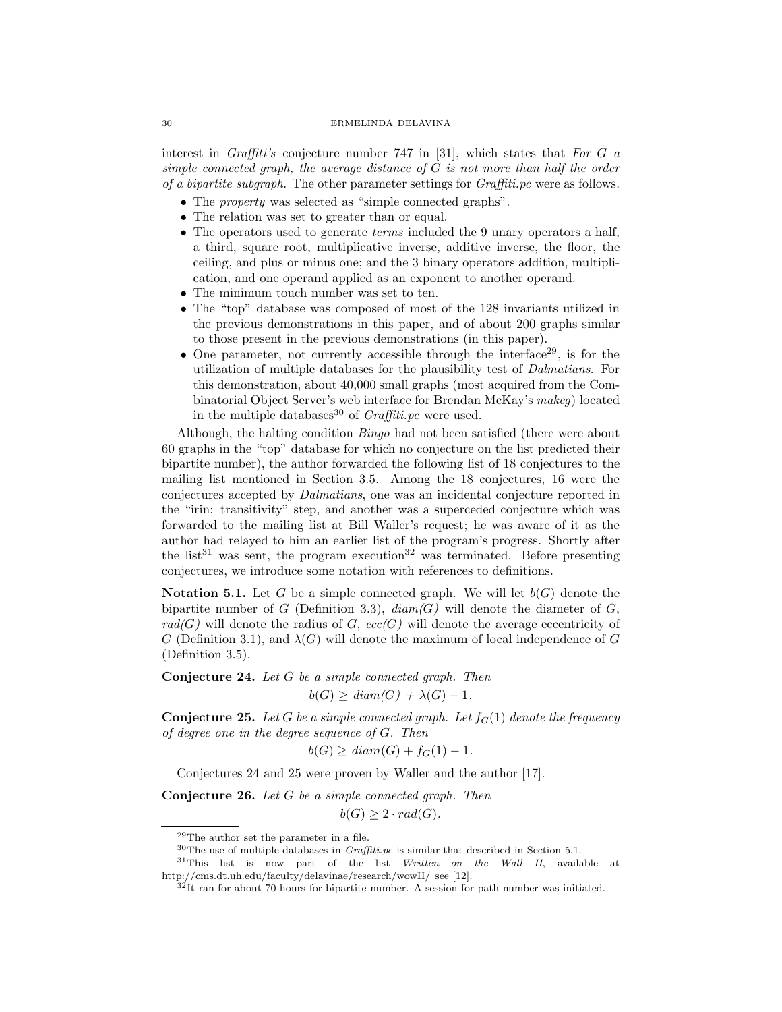interest in *Graffiti's* conjecture number 747 in [31], which states that *For* G *a simple connected graph, the average distance of* G *is not more than half the order of a bipartite subgraph*. The other parameter settings for *Graffiti.pc* were as follows.

- The *property* was selected as "simple connected graphs".
- The relation was set to greater than or equal.
- The operators used to generate *terms* included the 9 unary operators a half, a third, square root, multiplicative inverse, additive inverse, the floor, the ceiling, and plus or minus one; and the 3 binary operators addition, multiplication, and one operand applied as an exponent to another operand.
- The minimum touch number was set to ten.
- The "top" database was composed of most of the 128 invariants utilized in the previous demonstrations in this paper, and of about 200 graphs similar to those present in the previous demonstrations (in this paper).
- One parameter, not currently accessible through the interface  $29$ , is for the utilization of multiple databases for the plausibility test of *Dalmatians*. For this demonstration, about 40,000 small graphs (most acquired from the Combinatorial Object Server's web interface for Brendan McKay's *makeg*) located in the multiple databases<sup>30</sup> of *Graffiti.pc* were used.

Although, the halting condition *Bingo* had not been satisfied (there were about 60 graphs in the "top" database for which no conjecture on the list predicted their bipartite number), the author forwarded the following list of 18 conjectures to the mailing list mentioned in Section 3.5. Among the 18 conjectures, 16 were the conjectures accepted by *Dalmatians*, one was an incidental conjecture reported in the "irin: transitivity" step, and another was a superceded conjecture which was forwarded to the mailing list at Bill Waller's request; he was aware of it as the author had relayed to him an earlier list of the program's progress. Shortly after the list<sup>31</sup> was sent, the program execution<sup>32</sup> was terminated. Before presenting conjectures, we introduce some notation with references to definitions.

**Notation 5.1.** Let G be a simple connected graph. We will let  $b(G)$  denote the bipartite number of G (Definition 3.3),  $diam(G)$  will denote the diameter of G,  $rad(G)$  will denote the radius of G,  $ecc(G)$  will denote the average eccentricity of G (Definition 3.1), and  $\lambda(G)$  will denote the maximum of local independence of G (Definition 3.5).

**Conjecture 24.** *Let* G *be a simple connected graph. Then*  $b(G) \geq diam(G) + \lambda(G) - 1$ .

**Conjecture 25.** *Let* G *be a simple connected graph. Let*  $f_G(1)$  *denote the frequency of degree one in the degree sequence of* G*. Then*

$$
b(G) \ge diam(G) + f_G(1) - 1.
$$

Conjectures 24 and 25 were proven by Waller and the author [17].

**Conjecture 26.** *Let* G *be a simple connected graph. Then*

 $b(G) \geq 2 \cdot rad(G)$ .

<sup>29</sup>The author set the parameter in a file.

 $30$ The use of multiple databases in *Graffiti.pc* is similar that described in Section 5.1.

 $31$ This list is now part of the list Written on the Wall II, available at http://cms.dt.uh.edu/faculty/delavinae/research/wowII/ see [12].

 $32$ It ran for about 70 hours for bipartite number. A session for path number was initiated.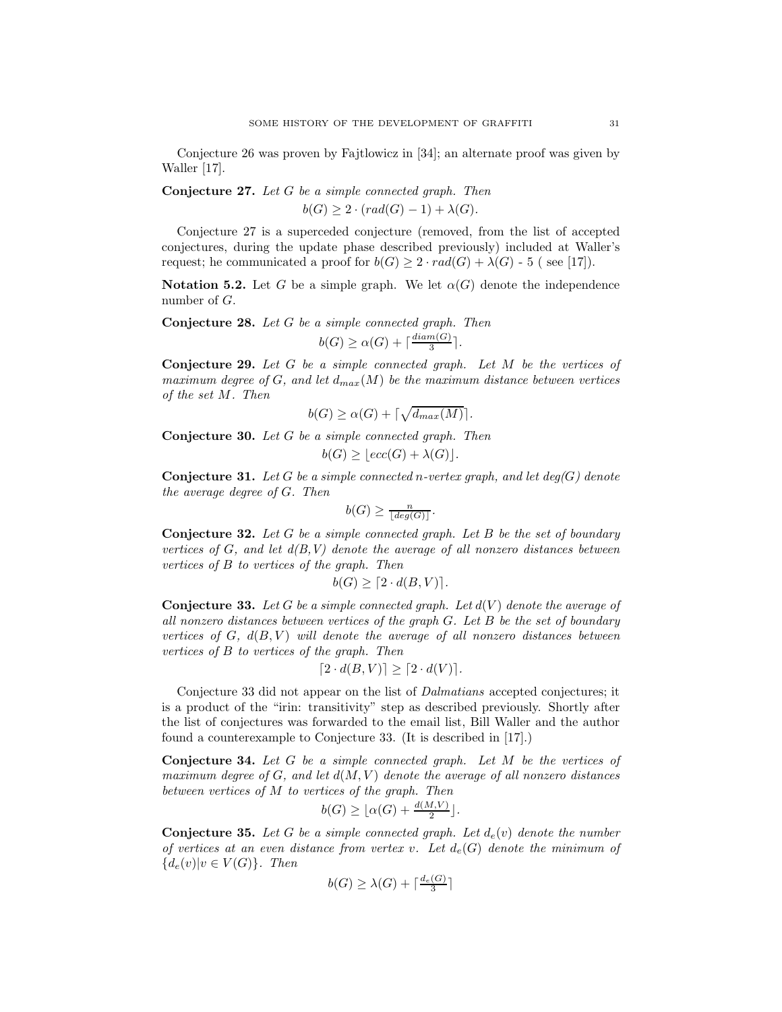Conjecture 26 was proven by Fajtlowicz in [34]; an alternate proof was given by Waller [17].

**Conjecture 27.** *Let* G *be a simple connected graph. Then*  $b(G) > 2 \cdot (rad(G) - 1) + \lambda(G)$ .

Conjecture 27 is a superceded conjecture (removed, from the list of accepted conjectures, during the update phase described previously) included at Waller's request; he communicated a proof for  $b(G) \geq 2 \cdot rad(G) + \lambda(G)$  - 5 (see [17]).

**Notation 5.2.** Let G be a simple graph. We let  $\alpha(G)$  denote the independence number of G.

**Conjecture 28.** *Let* G *be a simple connected graph. Then*  $b(G) \ge \alpha(G) + \lceil \frac{diam(G)}{3} \rceil$ .

**Conjecture 29.** *Let* G *be a simple connected graph. Let* M *be the vertices of maximum degree of*  $G$ *, and let*  $d_{max}(M)$  *be the maximum distance between vertices of the set* M*. Then*

$$
b(G) \ge \alpha(G) + \lceil \sqrt{d_{max}(M)} \rceil.
$$

**Conjecture 30.** *Let* G *be a simple connected graph. Then*  $b(G) \geq |ecc(G) + \lambda(G)|.$ 

**Conjecture 31.** *Let* G *be a simple connected* n*-vertex graph, and let deg(*G*) denote the average degree of* G*. Then*

$$
b(G) \ge \frac{n}{\lfloor \deg(G) \rfloor}.
$$

**Conjecture 32.** *Let* G *be a simple connected graph. Let* B *be the set of boundary vertices of* G*, and let d(B,V) denote the average of all nonzero distances between vertices of* B *to vertices of the graph. Then*

$$
b(G) \ge [2 \cdot d(B, V)].
$$

**Conjecture 33.** Let G be a simple connected graph. Let  $d(V)$  denote the average of *all nonzero distances between vertices of the graph* G*. Let* B *be the set of boundary vertices of*  $G$ *,*  $d(B, V)$  *will denote the average of all nonzero distances between vertices of* B *to vertices of the graph. Then*

$$
[2 \cdot d(B, V)] \ge [2 \cdot d(V)].
$$

Conjecture 33 did not appear on the list of *Dalmatians* accepted conjectures; it is a product of the "irin: transitivity" step as described previously. Shortly after the list of conjectures was forwarded to the email list, Bill Waller and the author found a counterexample to Conjecture 33. (It is described in [17].)

**Conjecture 34.** *Let* G *be a simple connected graph. Let* M *be the vertices of maximum degree of* G*, and let* d(M,V ) *denote the average of all nonzero distances between vertices of* M *to vertices of the graph. Then*

$$
b(G) \ge \lfloor \alpha(G) + \frac{d(M,V)}{2} \rfloor.
$$

**Conjecture 35.** Let G be a simple connected graph. Let  $d_e(v)$  denote the number *of vertices at an even distance from vertex v.* Let  $d_e(G)$  denote the minimum of  ${d_e(v)|v \in V(G)}$ *. Then* 

$$
b(G) \ge \lambda(G) + \lceil \frac{d_e(G)}{3} \rceil
$$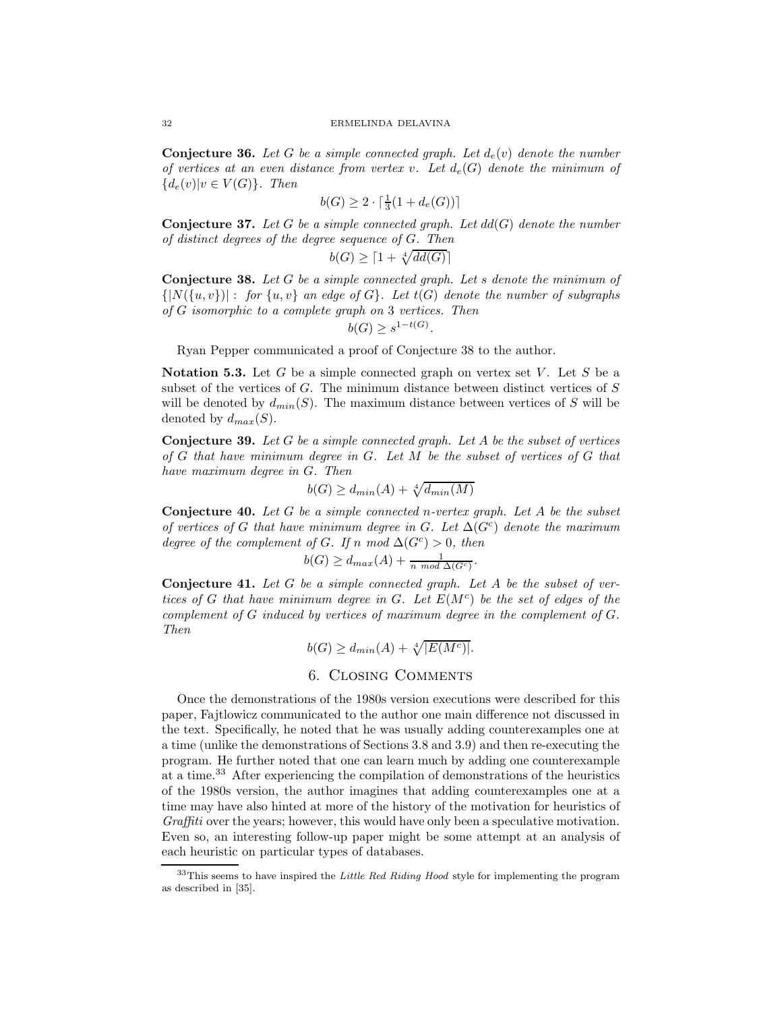**Conjecture 36.** Let G be a simple connected graph. Let  $d_e(v)$  denote the number *of vertices at an even distance from vertex v.* Let  $d_e(G)$  denote the minimum of  ${d_e(v)|v \in V(G)}$ *. Then* 

$$
b(G) \ge 2 \cdot \lceil \frac{1}{3}(1 + d_e(G)) \rceil
$$

**Conjecture 37.** *Let* G *be a simple connected graph. Let* dd(G) *denote the number of distinct degrees of the degree sequence of* G*. Then*

$$
b(G) \ge \lceil 1 + \sqrt[4]{dd(G)} \rceil
$$

**Conjecture 38.** *Let* G *be a simple connected graph. Let* s *denote the minimum of*  $\{|N(\{u, v\})| : for \{u, v\} \text{ an edge of } G\}$ . Let  $t(G)$  denote the number of subgraphs *of* G *isomorphic to a complete graph on* 3 *vertices. Then*

$$
b(G) \ge s^{1-t(G)}.
$$

Ryan Pepper communicated a proof of Conjecture 38 to the author.

**Notation 5.3.** Let G be a simple connected graph on vertex set V. Let S be a subset of the vertices of G. The minimum distance between distinct vertices of S will be denoted by  $d_{min}(S)$ . The maximum distance between vertices of S will be denoted by  $d_{max}(S)$ .

**Conjecture 39.** *Let* G *be a simple connected graph. Let* A *be the subset of vertices of* G *that have minimum degree in* G*. Let* M *be the subset of vertices of* G *that have maximum degree in* G*. Then*

$$
b(G) \ge d_{min}(A) + \sqrt[4]{d_{min}(M)}
$$

**Conjecture 40.** *Let* G *be a simple connected* n*-vertex graph. Let* A *be the subset of vertices of* G *that have minimum degree in* G. Let  $\Delta(G^c)$  *denote the maximum degree of the complement of G. If* n mod  $\Delta(G^c) > 0$ *, then* 

$$
b(G) \geq d_{max}(A) + \frac{1}{n \mod \Delta(G^c)}.
$$

**Conjecture 41.** *Let* G *be a simple connected graph. Let* A *be the subset of vertices of* G *that have minimum degree in* G. Let  $E(M<sup>c</sup>)$  *be the set of edges of the complement of* G *induced by vertices of maximum degree in the complement of* G*. Then*

$$
b(G) \ge d_{min}(A) + \sqrt[4]{|E(M^c)|}.
$$

# 6. Closing Comments

Once the demonstrations of the 1980s version executions were described for this paper, Fajtlowicz communicated to the author one main difference not discussed in the text. Specifically, he noted that he was usually adding counterexamples one at a time (unlike the demonstrations of Sections 3.8 and 3.9) and then re-executing the program. He further noted that one can learn much by adding one counterexample at a time.<sup>33</sup> After experiencing the compilation of demonstrations of the heuristics of the 1980s version, the author imagines that adding counterexamples one at a time may have also hinted at more of the history of the motivation for heuristics of *Graffiti* over the years; however, this would have only been a speculative motivation. Even so, an interesting follow-up paper might be some attempt at an analysis of each heuristic on particular types of databases.

 $33$ This seems to have inspired the Little Red Riding Hood style for implementing the program as described in [35].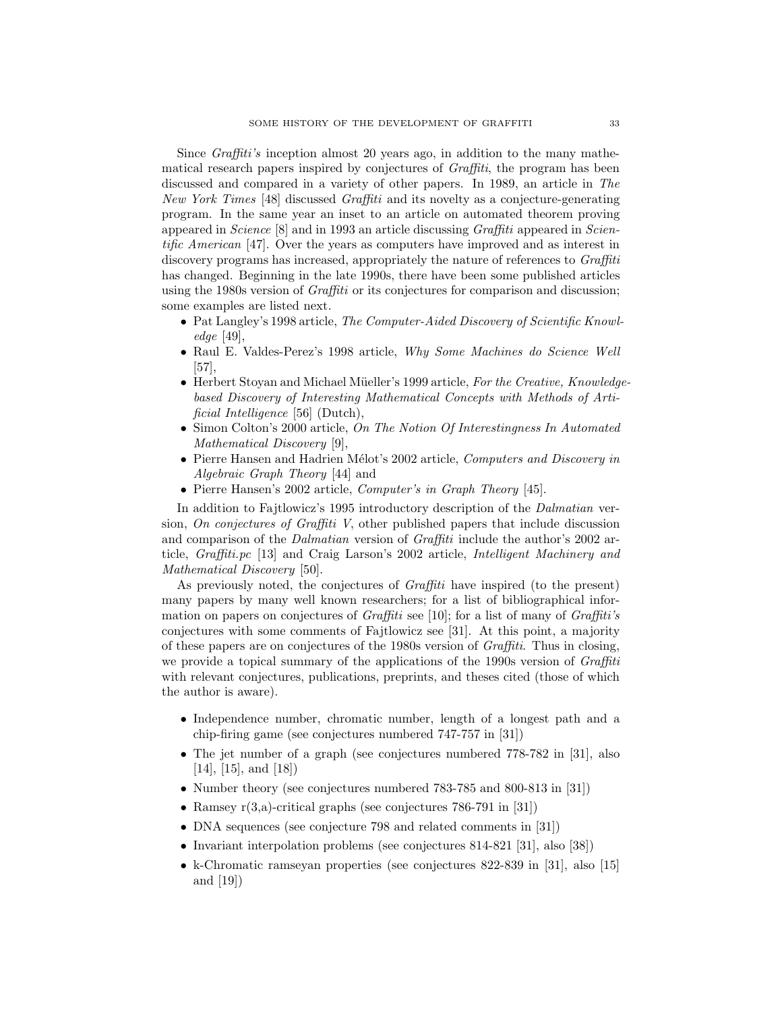Since *Graffiti's* inception almost 20 years ago, in addition to the many mathematical research papers inspired by conjectures of *Graffiti*, the program has been discussed and compared in a variety of other papers. In 1989, an article in *The New York Times* [48] discussed *Graffiti* and its novelty as a conjecture-generating program. In the same year an inset to an article on automated theorem proving appeared in *Science* [8] and in 1993 an article discussing *Graffiti* appeared in *Scientific American* [47]. Over the years as computers have improved and as interest in discovery programs has increased, appropriately the nature of references to *Graffiti* has changed. Beginning in the late 1990s, there have been some published articles using the 1980s version of *Graffiti* or its conjectures for comparison and discussion; some examples are listed next.

- Pat Langley's 1998 article, *The Computer-Aided Discovery of Scientific Knowledge* [49],
- Raul E. Valdes-Perez's 1998 article, *Why Some Machines do Science Well* [57],
- Herbert Stoyan and Michael Müeller's 1999 article, *For the Creative, Knowledgebased Discovery of Interesting Mathematical Concepts with Methods of Artificial Intelligence* [56] (Dutch),
- Simon Colton's 2000 article, *On The Notion Of Interestingness In Automated Mathematical Discovery* [9],
- Pierre Hansen and Hadrien Mélot's 2002 article, *Computers and Discovery in Algebraic Graph Theory* [44] and
- Pierre Hansen's 2002 article, *Computer's in Graph Theory* [45].

In addition to Fajtlowicz's 1995 introductory description of the *Dalmatian* version, *On conjectures of Graffiti V*, other published papers that include discussion and comparison of the *Dalmatian* version of *Graffiti* include the author's 2002 article, *Graffiti.pc* [13] and Craig Larson's 2002 article, *Intelligent Machinery and Mathematical Discovery* [50].

As previously noted, the conjectures of *Graffiti* have inspired (to the present) many papers by many well known researchers; for a list of bibliographical information on papers on conjectures of *Graffiti* see [10]; for a list of many of *Graffiti's* conjectures with some comments of Fajtlowicz see [31]. At this point, a majority of these papers are on conjectures of the 1980s version of *Graffiti*. Thus in closing, we provide a topical summary of the applications of the 1990s version of *Graffiti* with relevant conjectures, publications, preprints, and theses cited (those of which the author is aware).

- Independence number, chromatic number, length of a longest path and a chip-firing game (see conjectures numbered 747-757 in [31])
- The jet number of a graph (see conjectures numbered 778-782 in [31], also  $[14]$ ,  $[15]$ , and  $[18]$ )
- Number theory (see conjectures numbered 783-785 and 800-813 in [31])
- Ramsey  $r(3,a)$ -critical graphs (see conjectures 786-791 in [31])
- DNA sequences (see conjecture 798 and related comments in [31])
- Invariant interpolation problems (see conjectures 814-821 [31], also [38])
- k-Chromatic ramseyan properties (see conjectures 822-839 in [31], also [15] and [19])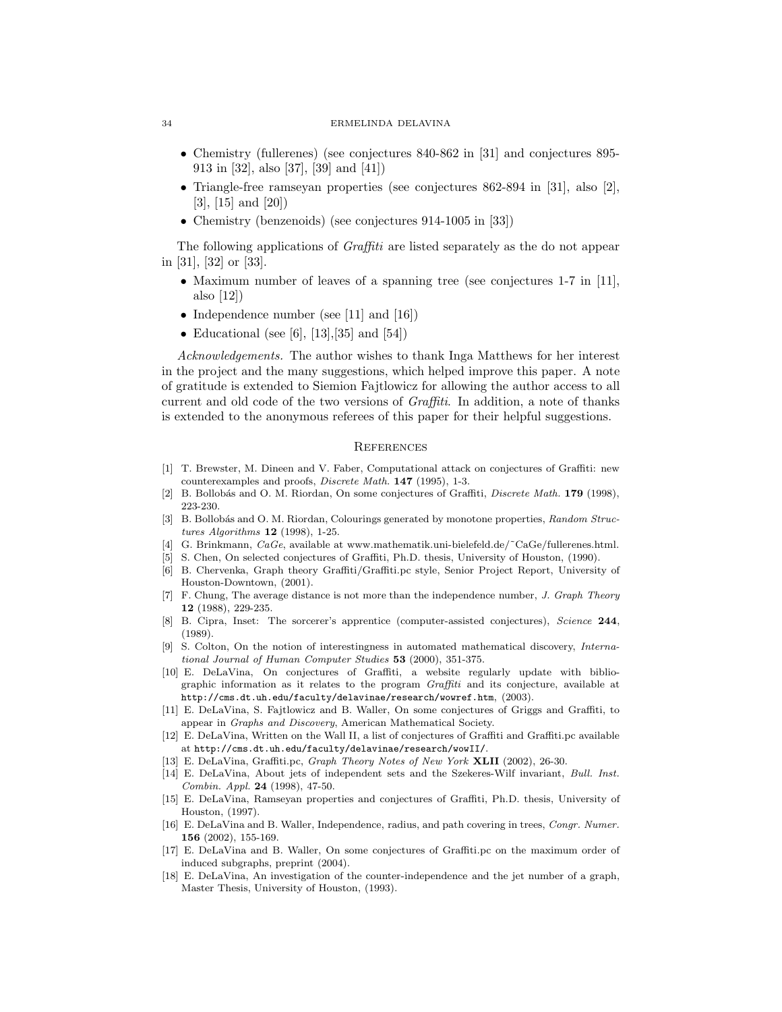- Chemistry (fullerenes) (see conjectures 840-862 in [31] and conjectures 895- 913 in [32], also [37], [39] and [41])
- Triangle-free ramseyan properties (see conjectures 862-894 in [31], also [2], [3], [15] and [20])
- Chemistry (benzenoids) (see conjectures 914-1005 in [33])

The following applications of *Graffiti* are listed separately as the do not appear in [31], [32] or [33].

- Maximum number of leaves of a spanning tree (see conjectures 1-7 in [11], also [12])
- Independence number (see [11] and [16])
- Educational (see [6], [13], [35] and [54])

*Acknowledgements.* The author wishes to thank Inga Matthews for her interest in the project and the many suggestions, which helped improve this paper. A note of gratitude is extended to Siemion Fajtlowicz for allowing the author access to all current and old code of the two versions of *Graffiti*. In addition, a note of thanks is extended to the anonymous referees of this paper for their helpful suggestions.

## **REFERENCES**

- [1] T. Brewster, M. Dineen and V. Faber, Computational attack on conjectures of Graffiti: new counterexamples and proofs, Discrete Math. **147** (1995), 1-3.
- [2] B. Bollobás and O. M. Riordan, On some conjectures of Graffiti, *Discrete Math.* **179** (1998), 223-230.
- [3] B. Bollobás and O. M. Riordan, Colourings generated by monotone properties, Random Structures Algorithms **12** (1998), 1-25.
- [4] G. Brinkmann, CaGe, available at www.mathematik.uni-bielefeld.de/˜CaGe/fullerenes.html.
- [5] S. Chen, On selected conjectures of Graffiti, Ph.D. thesis, University of Houston, (1990).
- [6] B. Chervenka, Graph theory Graffiti/Graffiti.pc style, Senior Project Report, University of Houston-Downtown, (2001).
- [7] F. Chung, The average distance is not more than the independence number, J. Graph Theory **12** (1988), 229-235.
- [8] B. Cipra, Inset: The sorcerer's apprentice (computer-assisted conjectures), Science **244**, (1989).
- [9] S. Colton, On the notion of interestingness in automated mathematical discovery, International Journal of Human Computer Studies **53** (2000), 351-375.
- [10] E. DeLaVina, On conjectures of Graffiti, a website regularly update with bibliographic information as it relates to the program Graffiti and its conjecture, available at http://cms.dt.uh.edu/faculty/delavinae/research/wowref.htm, (2003).
- [11] E. DeLaVina, S. Fajtlowicz and B. Waller, On some conjectures of Griggs and Graffiti, to appear in Graphs and Discovery, American Mathematical Society.
- [12] E. DeLaVina, Written on the Wall II, a list of conjectures of Graffiti and Graffiti.pc available at http://cms.dt.uh.edu/faculty/delavinae/research/wowII/.
- [13] E. DeLaVina, Graffiti.pc, Graph Theory Notes of New York **XLII** (2002), 26-30.
- [14] E. DeLaVina, About jets of independent sets and the Szekeres-Wilf invariant, Bull. Inst. Combin. Appl. **24** (1998), 47-50.
- [15] E. DeLaVina, Ramseyan properties and conjectures of Graffiti, Ph.D. thesis, University of Houston, (1997).
- [16] E. DeLaVina and B. Waller, Independence, radius, and path covering in trees, Congr. Numer. **156** (2002), 155-169.
- [17] E. DeLaVina and B. Waller, On some conjectures of Graffiti.pc on the maximum order of induced subgraphs, preprint (2004).
- [18] E. DeLaVina, An investigation of the counter-independence and the jet number of a graph, Master Thesis, University of Houston, (1993).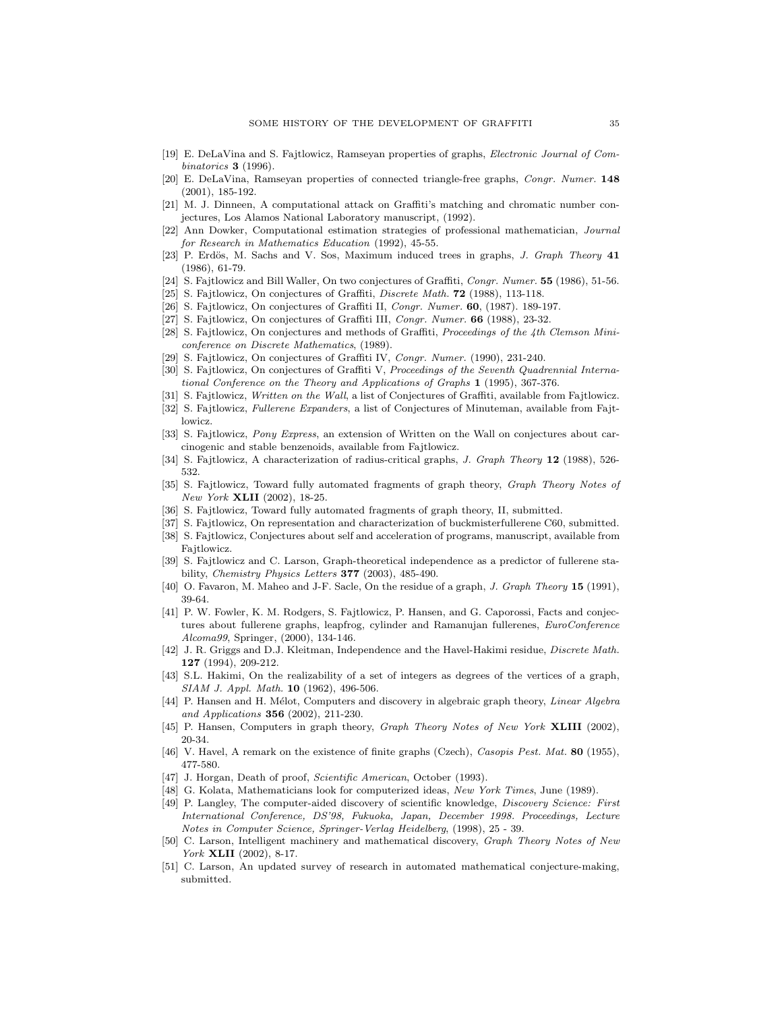- [19] E. DeLaVina and S. Fajtlowicz, Ramseyan properties of graphs, Electronic Journal of Combinatorics **3** (1996).
- [20] E. DeLaVina, Ramseyan properties of connected triangle-free graphs, Congr. Numer. **148** (2001), 185-192.
- [21] M. J. Dinneen, A computational attack on Graffiti's matching and chromatic number conjectures, Los Alamos National Laboratory manuscript, (1992).
- [22] Ann Dowker, Computational estimation strategies of professional mathematician, Journal for Research in Mathematics Education (1992), 45-55.
- [23] P. Erdös, M. Sachs and V. Sos, Maximum induced trees in graphs, *J. Graph Theory* 41 (1986), 61-79.
- [24] S. Fajtlowicz and Bill Waller, On two conjectures of Graffiti, Congr. Numer. **55** (1986), 51-56.
- [25] S. Fajtlowicz, On conjectures of Graffiti, Discrete Math. **72** (1988), 113-118.
- [26] S. Fajtlowicz, On conjectures of Graffiti II, Congr. Numer. **60**, (1987). 189-197.
- [27] S. Fajtlowicz, On conjectures of Graffiti III, Congr. Numer. **66** (1988), 23-32.
- [28] S. Fajtlowicz, On conjectures and methods of Graffiti, Proceedings of the 4th Clemson Miniconference on Discrete Mathematics, (1989).
- [29] S. Fajtlowicz, On conjectures of Graffiti IV, Congr. Numer. (1990), 231-240.
- [30] S. Fajtlowicz, On conjectures of Graffiti V, Proceedings of the Seventh Quadrennial International Conference on the Theory and Applications of Graphs **1** (1995), 367-376.
- [31] S. Fajtlowicz, Written on the Wall, a list of Conjectures of Graffiti, available from Fajtlowicz. [32] S. Fajtlowicz, Fullerene Expanders, a list of Conjectures of Minuteman, available from Fajt-
- lowicz.
- [33] S. Fajtlowicz, *Pony Express*, an extension of Written on the Wall on conjectures about carcinogenic and stable benzenoids, available from Fajtlowicz.
- [34] S. Fajtlowicz, A characterization of radius-critical graphs, J. Graph Theory **12** (1988), 526- 532.
- [35] S. Fajtlowicz, Toward fully automated fragments of graph theory, Graph Theory Notes of New York **XLII** (2002), 18-25.
- [36] S. Fajtlowicz, Toward fully automated fragments of graph theory, II, submitted.
- [37] S. Fajtlowicz, On representation and characterization of buckmisterfullerene C60, submitted. [38] S. Fajtlowicz, Conjectures about self and acceleration of programs, manuscript, available from
- Fajtlowicz. [39] S. Fajtlowicz and C. Larson, Graph-theoretical independence as a predictor of fullerene sta-
- bility, Chemistry Physics Letters **377** (2003), 485-490.
- [40] O. Favaron, M. Maheo and J-F. Sacle, On the residue of a graph, J. Graph Theory **15** (1991), 39-64.
- [41] P. W. Fowler, K. M. Rodgers, S. Fajtlowicz, P. Hansen, and G. Caporossi, Facts and conjectures about fullerene graphs, leapfrog, cylinder and Ramanujan fullerenes, EuroConference Alcoma99, Springer, (2000), 134-146.
- [42] J. R. Griggs and D.J. Kleitman, Independence and the Havel-Hakimi residue, Discrete Math. **127** (1994), 209-212.
- [43] S.L. Hakimi, On the realizability of a set of integers as degrees of the vertices of a graph, SIAM J. Appl. Math. **10** (1962), 496-506.
- [44] P. Hansen and H. Mélot, Computers and discovery in algebraic graph theory, Linear Algebra and Applications **356** (2002), 211-230.
- [45] P. Hansen, Computers in graph theory, Graph Theory Notes of New York **XLIII** (2002), 20-34.
- [46] V. Havel, A remark on the existence of finite graphs (Czech), Casopis Pest. Mat. **80** (1955), 477-580.
- [47] J. Horgan, Death of proof, Scientific American, October (1993).
- [48] G. Kolata, Mathematicians look for computerized ideas, New York Times, June (1989).
- [49] P. Langley, The computer-aided discovery of scientific knowledge, Discovery Science: First International Conference, DS'98, Fukuoka, Japan, December 1998. Proceedings, Lecture Notes in Computer Science, Springer-Verlag Heidelberg, (1998), 25 - 39.
- [50] C. Larson, Intelligent machinery and mathematical discovery, Graph Theory Notes of New York **XLII** (2002), 8-17.
- [51] C. Larson, An updated survey of research in automated mathematical conjecture-making, submitted.